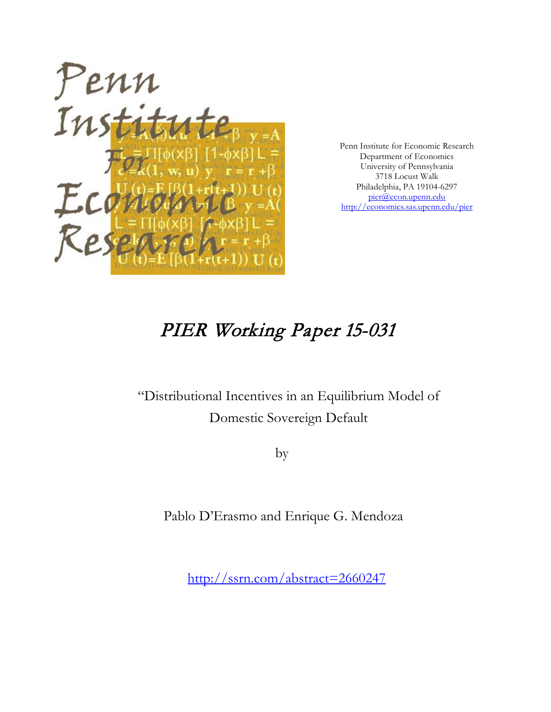

Penn Institute for Economic Research Department of Economics University of Pennsylvania 3718 Locust Walk Philadelphia, PA 19104-6297 [pier@econ.upenn.edu](mailto:pier@econ.upenn.edu) <http://economics.sas.upenn.edu/pier>

# PIER Working Paper 15-031

"Distributional Incentives in an Equilibrium Model of Domestic Sovereign Default

by

Pablo D'Erasmo and Enrique G. Mendoza

[http://ssrn.com/abstract=2](http://ssrn.com/abstract_id=)660247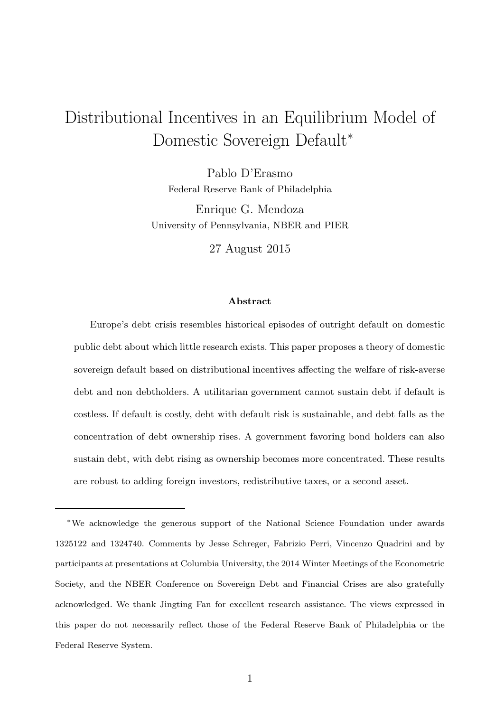# Distributional Incentives in an Equilibrium Model of Domestic Sovereign Default<sup>∗</sup>

Pablo D'Erasmo Federal Reserve Bank of Philadelphia

Enrique G. Mendoza University of Pennsylvania, NBER and PIER

27 August 2015

#### Abstract

Europe's debt crisis resembles historical episodes of outright default on domestic public debt about which little research exists. This paper proposes a theory of domestic sovereign default based on distributional incentives affecting the welfare of risk-averse debt and non debtholders. A utilitarian government cannot sustain debt if default is costless. If default is costly, debt with default risk is sustainable, and debt falls as the concentration of debt ownership rises. A government favoring bond holders can also sustain debt, with debt rising as ownership becomes more concentrated. These results are robust to adding foreign investors, redistributive taxes, or a second asset.

<sup>∗</sup>We acknowledge the generous support of the National Science Foundation under awards 1325122 and 1324740. Comments by Jesse Schreger, Fabrizio Perri, Vincenzo Quadrini and by participants at presentations at Columbia University, the 2014 Winter Meetings of the Econometric Society, and the NBER Conference on Sovereign Debt and Financial Crises are also gratefully acknowledged. We thank Jingting Fan for excellent research assistance. The views expressed in this paper do not necessarily reflect those of the Federal Reserve Bank of Philadelphia or the Federal Reserve System.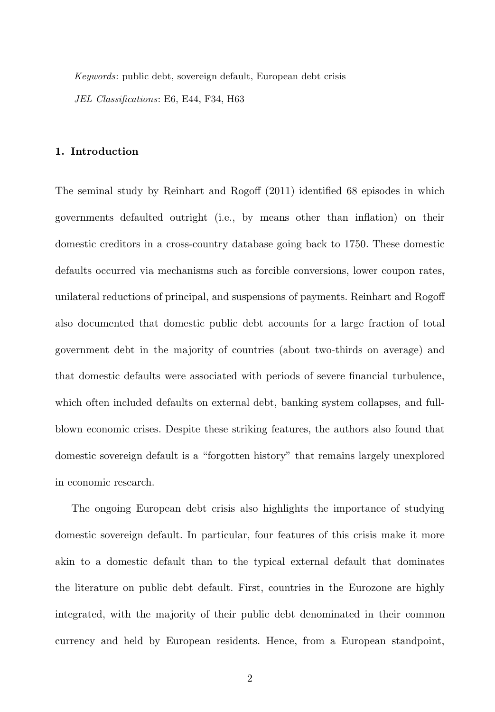Keywords: public debt, sovereign default, European debt crisis JEL Classifications: E6, E44, F34, H63

#### 1. Introduction

The seminal study by Reinhart and Rogoff (2011) identified 68 episodes in which governments defaulted outright (i.e., by means other than inflation) on their domestic creditors in a cross-country database going back to 1750. These domestic defaults occurred via mechanisms such as forcible conversions, lower coupon rates, unilateral reductions of principal, and suspensions of payments. Reinhart and Rogoff also documented that domestic public debt accounts for a large fraction of total government debt in the majority of countries (about two-thirds on average) and that domestic defaults were associated with periods of severe financial turbulence, which often included defaults on external debt, banking system collapses, and fullblown economic crises. Despite these striking features, the authors also found that domestic sovereign default is a "forgotten history" that remains largely unexplored in economic research.

The ongoing European debt crisis also highlights the importance of studying domestic sovereign default. In particular, four features of this crisis make it more akin to a domestic default than to the typical external default that dominates the literature on public debt default. First, countries in the Eurozone are highly integrated, with the majority of their public debt denominated in their common currency and held by European residents. Hence, from a European standpoint,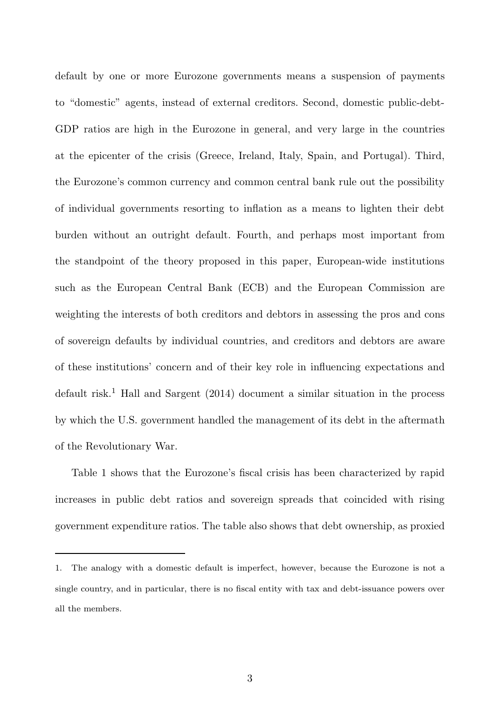default by one or more Eurozone governments means a suspension of payments to "domestic" agents, instead of external creditors. Second, domestic public-debt-GDP ratios are high in the Eurozone in general, and very large in the countries at the epicenter of the crisis (Greece, Ireland, Italy, Spain, and Portugal). Third, the Eurozone's common currency and common central bank rule out the possibility of individual governments resorting to inflation as a means to lighten their debt burden without an outright default. Fourth, and perhaps most important from the standpoint of the theory proposed in this paper, European-wide institutions such as the European Central Bank (ECB) and the European Commission are weighting the interests of both creditors and debtors in assessing the pros and cons of sovereign defaults by individual countries, and creditors and debtors are aware of these institutions' concern and of their key role in influencing expectations and default risk.<sup>1</sup> Hall and Sargent (2014) document a similar situation in the process by which the U.S. government handled the management of its debt in the aftermath of the Revolutionary War.

Table 1 shows that the Eurozone's fiscal crisis has been characterized by rapid increases in public debt ratios and sovereign spreads that coincided with rising government expenditure ratios. The table also shows that debt ownership, as proxied

<sup>1.</sup> The analogy with a domestic default is imperfect, however, because the Eurozone is not a single country, and in particular, there is no fiscal entity with tax and debt-issuance powers over all the members.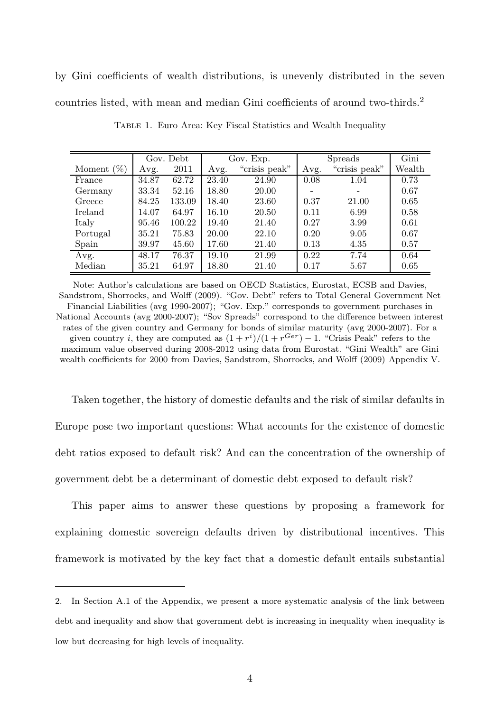by Gini coefficients of wealth distributions, is unevenly distributed in the seven countries listed, with mean and median Gini coefficients of around two-thirds.<sup>2</sup>

|               | Gov. Debt |        | Gov. Exp. |               | <b>Spreads</b> |               | Gini   |
|---------------|-----------|--------|-----------|---------------|----------------|---------------|--------|
| Moment $(\%)$ | Avg.      | 2011   | Avg.      | "crisis peak" | Avg.           | "crisis peak" | Wealth |
| France        | 34.87     | 62.72  | 23.40     | 24.90         | 0.08           | 1.04          | 0.73   |
| Germany       | 33.34     | 52.16  | 18.80     | 20.00         |                |               | 0.67   |
| Greece        | 84.25     | 133.09 | 18.40     | 23.60         | 0.37           | 21.00         | 0.65   |
| Ireland       | 14.07     | 64.97  | 16.10     | 20.50         | 0.11           | 6.99          | 0.58   |
| Italy         | 95.46     | 100.22 | 19.40     | 21.40         | 0.27           | 3.99          | 0.61   |
| Portugal      | 35.21     | 75.83  | 20.00     | 22.10         | 0.20           | 9.05          | 0.67   |
| Spain         | 39.97     | 45.60  | 17.60     | 21.40         | 0.13           | 4.35          | 0.57   |
| Avg.          | 48.17     | 76.37  | 19.10     | 21.99         | 0.22           | 7.74          | 0.64   |
| Median        | 35.21     | 64.97  | 18.80     | 21.40         | 0.17           | 5.67          | 0.65   |

Table 1. Euro Area: Key Fiscal Statistics and Wealth Inequality

Note: Author's calculations are based on OECD Statistics, Eurostat, ECSB and Davies, Sandstrom, Shorrocks, and Wolff (2009). "Gov. Debt" refers to Total General Government Net Financial Liabilities (avg 1990-2007); "Gov. Exp." corresponds to government purchases in National Accounts (avg 2000-2007); "Sov Spreads" correspond to the difference between interest rates of the given country and Germany for bonds of similar maturity (avg 2000-2007). For a given country *i*, they are computed as  $(1 + r^{i})/(1 + r^{Ger}) - 1$ . "Crisis Peak" refers to the maximum value observed during 2008-2012 using data from Eurostat. "Gini Wealth" are Gini wealth coefficients for 2000 from Davies, Sandstrom, Shorrocks, and Wolff (2009) Appendix V.

Taken together, the history of domestic defaults and the risk of similar defaults in Europe pose two important questions: What accounts for the existence of domestic debt ratios exposed to default risk? And can the concentration of the ownership of government debt be a determinant of domestic debt exposed to default risk?

This paper aims to answer these questions by proposing a framework for explaining domestic sovereign defaults driven by distributional incentives. This framework is motivated by the key fact that a domestic default entails substantial

<sup>2.</sup> In Section A.1 of the Appendix, we present a more systematic analysis of the link between debt and inequality and show that government debt is increasing in inequality when inequality is low but decreasing for high levels of inequality.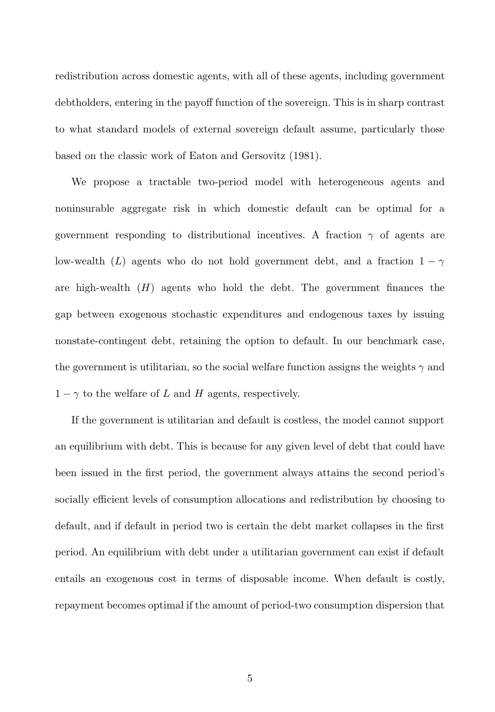redistribution across domestic agents, with all of these agents, including government debtholders, entering in the payoff function of the sovereign. This is in sharp contrast to what standard models of external sovereign default assume, particularly those based on the classic work of Eaton and Gersovitz (1981).

We propose a tractable two-period model with heterogeneous agents and noninsurable aggregate risk in which domestic default can be optimal for a government responding to distributional incentives. A fraction  $\gamma$  of agents are low-wealth (L) agents who do not hold government debt, and a fraction  $1 - \gamma$ are high-wealth  $(H)$  agents who hold the debt. The government finances the gap between exogenous stochastic expenditures and endogenous taxes by issuing nonstate-contingent debt, retaining the option to default. In our benchmark case, the government is utilitarian, so the social welfare function assigns the weights  $\gamma$  and  $1 - \gamma$  to the welfare of L and H agents, respectively.

If the government is utilitarian and default is costless, the model cannot support an equilibrium with debt. This is because for any given level of debt that could have been issued in the first period, the government always attains the second period's socially efficient levels of consumption allocations and redistribution by choosing to default, and if default in period two is certain the debt market collapses in the first period. An equilibrium with debt under a utilitarian government can exist if default entails an exogenous cost in terms of disposable income. When default is costly, repayment becomes optimal if the amount of period-two consumption dispersion that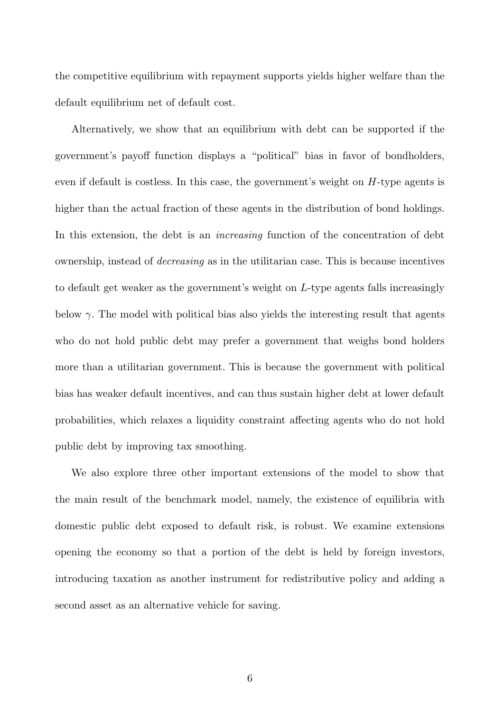the competitive equilibrium with repayment supports yields higher welfare than the default equilibrium net of default cost.

Alternatively, we show that an equilibrium with debt can be supported if the government's payoff function displays a "political" bias in favor of bondholders, even if default is costless. In this case, the government's weight on H-type agents is higher than the actual fraction of these agents in the distribution of bond holdings. In this extension, the debt is an *increasing* function of the concentration of debt ownership, instead of *decreasing* as in the utilitarian case. This is because incentives to default get weaker as the government's weight on L-type agents falls increasingly below  $\gamma$ . The model with political bias also yields the interesting result that agents who do not hold public debt may prefer a government that weighs bond holders more than a utilitarian government. This is because the government with political bias has weaker default incentives, and can thus sustain higher debt at lower default probabilities, which relaxes a liquidity constraint affecting agents who do not hold public debt by improving tax smoothing.

We also explore three other important extensions of the model to show that the main result of the benchmark model, namely, the existence of equilibria with domestic public debt exposed to default risk, is robust. We examine extensions opening the economy so that a portion of the debt is held by foreign investors, introducing taxation as another instrument for redistributive policy and adding a second asset as an alternative vehicle for saving.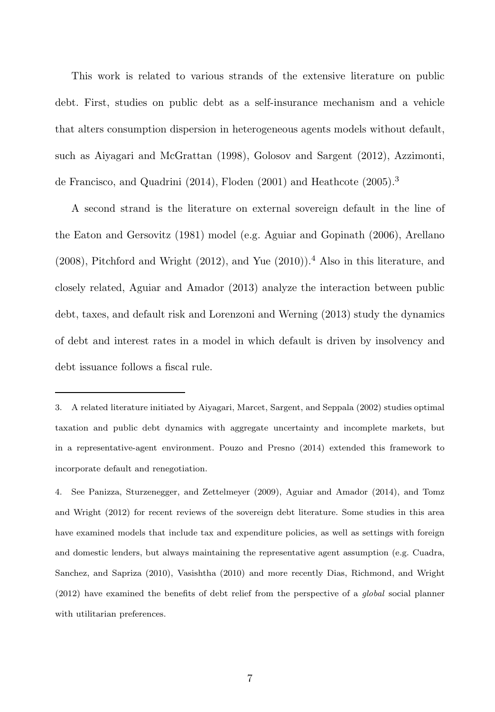This work is related to various strands of the extensive literature on public debt. First, studies on public debt as a self-insurance mechanism and a vehicle that alters consumption dispersion in heterogeneous agents models without default, such as Aiyagari and McGrattan (1998), Golosov and Sargent (2012), Azzimonti, de Francisco, and Quadrini (2014), Floden (2001) and Heathcote (2005).<sup>3</sup>

A second strand is the literature on external sovereign default in the line of the Eaton and Gersovitz (1981) model (e.g. Aguiar and Gopinath (2006), Arellano  $(2008)$ , Pitchford and Wright  $(2012)$ , and Yue  $(2010)$ ).<sup>4</sup> Also in this literature, and closely related, Aguiar and Amador (2013) analyze the interaction between public debt, taxes, and default risk and Lorenzoni and Werning (2013) study the dynamics of debt and interest rates in a model in which default is driven by insolvency and debt issuance follows a fiscal rule.

<sup>3.</sup> A related literature initiated by Aiyagari, Marcet, Sargent, and Seppala (2002) studies optimal taxation and public debt dynamics with aggregate uncertainty and incomplete markets, but in a representative-agent environment. Pouzo and Presno (2014) extended this framework to incorporate default and renegotiation.

<sup>4.</sup> See Panizza, Sturzenegger, and Zettelmeyer (2009), Aguiar and Amador (2014), and Tomz and Wright (2012) for recent reviews of the sovereign debt literature. Some studies in this area have examined models that include tax and expenditure policies, as well as settings with foreign and domestic lenders, but always maintaining the representative agent assumption (e.g. Cuadra, Sanchez, and Sapriza (2010), Vasishtha (2010) and more recently Dias, Richmond, and Wright (2012) have examined the benefits of debt relief from the perspective of a global social planner with utilitarian preferences.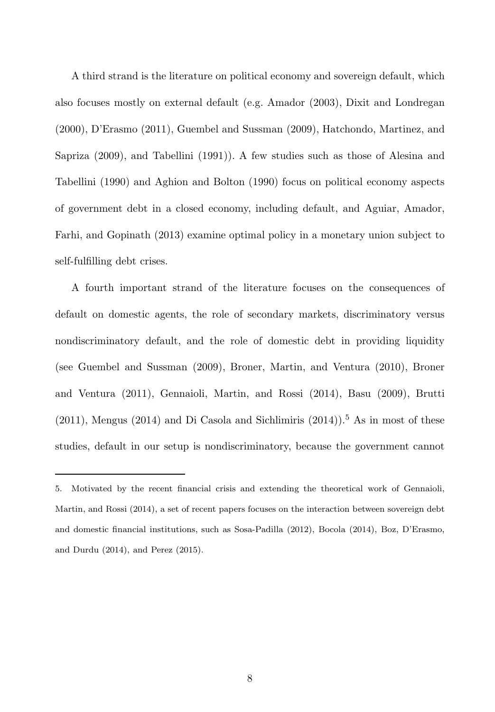A third strand is the literature on political economy and sovereign default, which also focuses mostly on external default (e.g. Amador (2003), Dixit and Londregan (2000), D'Erasmo (2011), Guembel and Sussman (2009), Hatchondo, Martinez, and Sapriza (2009), and Tabellini (1991)). A few studies such as those of Alesina and Tabellini (1990) and Aghion and Bolton (1990) focus on political economy aspects of government debt in a closed economy, including default, and Aguiar, Amador, Farhi, and Gopinath (2013) examine optimal policy in a monetary union subject to self-fulfilling debt crises.

A fourth important strand of the literature focuses on the consequences of default on domestic agents, the role of secondary markets, discriminatory versus nondiscriminatory default, and the role of domestic debt in providing liquidity (see Guembel and Sussman (2009), Broner, Martin, and Ventura (2010), Broner and Ventura (2011), Gennaioli, Martin, and Rossi (2014), Basu (2009), Brutti  $(2011)$ , Mengus  $(2014)$  and Di Casola and Sichlimiris  $(2014)$ <sup>5</sup>. As in most of these studies, default in our setup is nondiscriminatory, because the government cannot

<sup>5.</sup> Motivated by the recent financial crisis and extending the theoretical work of Gennaioli, Martin, and Rossi (2014), a set of recent papers focuses on the interaction between sovereign debt and domestic financial institutions, such as Sosa-Padilla (2012), Bocola (2014), Boz, D'Erasmo, and Durdu (2014), and Perez (2015).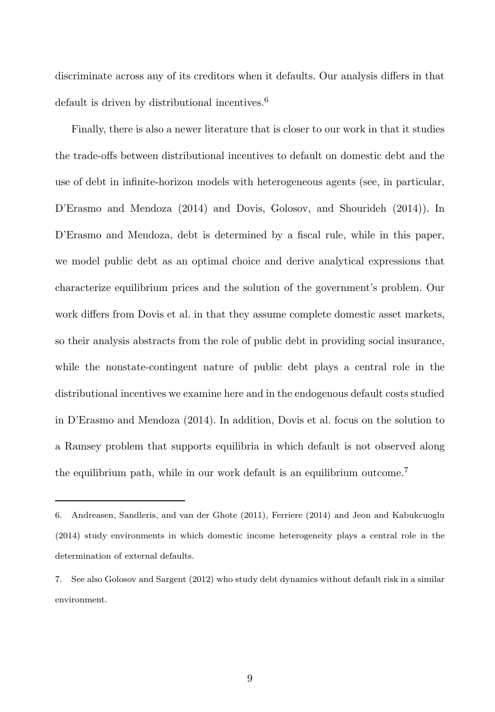discriminate across any of its creditors when it defaults. Our analysis differs in that default is driven by distributional incentives.<sup>6</sup>

Finally, there is also a newer literature that is closer to our work in that it studies the trade-offs between distributional incentives to default on domestic debt and the use of debt in infinite-horizon models with heterogeneous agents (see, in particular, D'Erasmo and Mendoza (2014) and Dovis, Golosov, and Shourideh (2014)). In D'Erasmo and Mendoza, debt is determined by a fiscal rule, while in this paper, we model public debt as an optimal choice and derive analytical expressions that characterize equilibrium prices and the solution of the government's problem. Our work differs from Dovis et al. in that they assume complete domestic asset markets, so their analysis abstracts from the role of public debt in providing social insurance, while the nonstate-contingent nature of public debt plays a central role in the distributional incentives we examine here and in the endogenous default costs studied in D'Erasmo and Mendoza (2014). In addition, Dovis et al. focus on the solution to a Ramsey problem that supports equilibria in which default is not observed along the equilibrium path, while in our work default is an equilibrium outcome.<sup>7</sup>

<sup>6.</sup> Andreasen, Sandleris, and van der Ghote (2011), Ferriere (2014) and Jeon and Kabukcuoglu (2014) study environments in which domestic income heterogeneity plays a central role in the determination of external defaults.

<sup>7.</sup> See also Golosov and Sargent (2012) who study debt dynamics without default risk in a similar environment.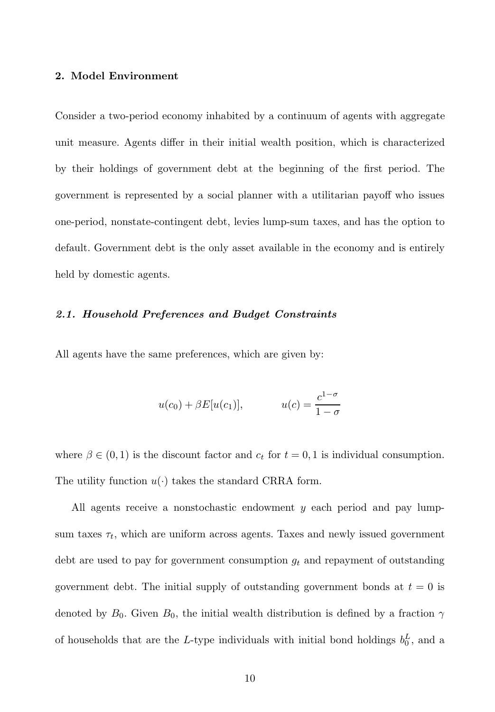#### 2. Model Environment

Consider a two-period economy inhabited by a continuum of agents with aggregate unit measure. Agents differ in their initial wealth position, which is characterized by their holdings of government debt at the beginning of the first period. The government is represented by a social planner with a utilitarian payoff who issues one-period, nonstate-contingent debt, levies lump-sum taxes, and has the option to default. Government debt is the only asset available in the economy and is entirely held by domestic agents.

# 2.1. Household Preferences and Budget Constraints

All agents have the same preferences, which are given by:

$$
u(c_0) + \beta E[u(c_1)], \qquad \qquad u(c) = \frac{c^{1-\sigma}}{1-\sigma}
$$

where  $\beta \in (0,1)$  is the discount factor and  $c_t$  for  $t = 0,1$  is individual consumption. The utility function  $u(\cdot)$  takes the standard CRRA form.

All agents receive a nonstochastic endowment  $y$  each period and pay lumpsum taxes  $\tau_t$ , which are uniform across agents. Taxes and newly issued government debt are used to pay for government consumption  $g_t$  and repayment of outstanding government debt. The initial supply of outstanding government bonds at  $t = 0$  is denoted by  $B_0$ . Given  $B_0$ , the initial wealth distribution is defined by a fraction  $\gamma$ of households that are the L-type individuals with initial bond holdings  $b_0^L$ , and a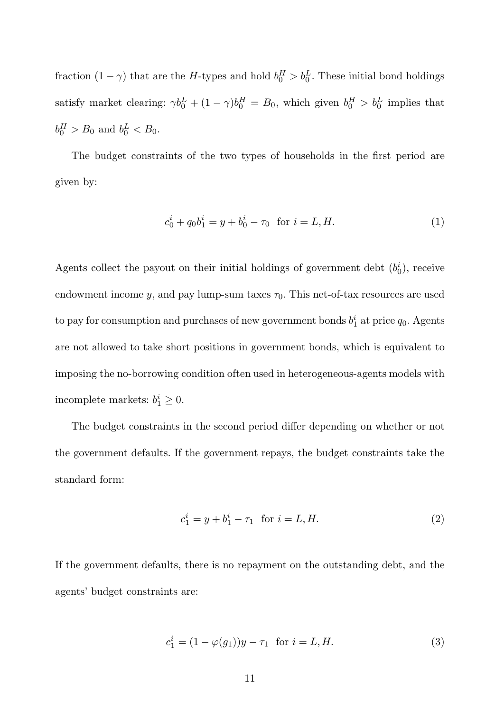fraction  $(1 - \gamma)$  that are the H-types and hold  $b_0^H > b_0^L$ . These initial bond holdings satisfy market clearing:  $\gamma b_0^L + (1 - \gamma)b_0^H = B_0$ , which given  $b_0^H > b_0^L$  implies that  $b_0^H > B_0$  and  $b_0^L < B_0$ .

The budget constraints of the two types of households in the first period are given by:

$$
c_0^i + q_0 b_1^i = y + b_0^i - \tau_0 \quad \text{for } i = L, H. \tag{1}
$$

Agents collect the payout on their initial holdings of government debt  $(b_0^i)$ , receive endowment income y, and pay lump-sum taxes  $\tau_0$ . This net-of-tax resources are used to pay for consumption and purchases of new government bonds  $b_1^i$  at price  $q_0$ . Agents are not allowed to take short positions in government bonds, which is equivalent to imposing the no-borrowing condition often used in heterogeneous-agents models with incomplete markets:  $b_1^i \geq 0$ .

The budget constraints in the second period differ depending on whether or not the government defaults. If the government repays, the budget constraints take the standard form:

$$
c_1^i = y + b_1^i - \tau_1 \text{ for } i = L, H.
$$
 (2)

If the government defaults, there is no repayment on the outstanding debt, and the agents' budget constraints are:

$$
c_1^i = (1 - \varphi(g_1))y - \tau_1 \text{ for } i = L, H.
$$
 (3)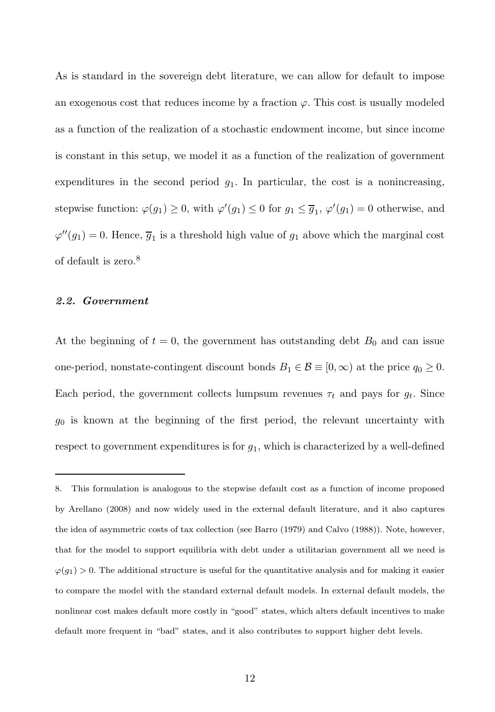As is standard in the sovereign debt literature, we can allow for default to impose an exogenous cost that reduces income by a fraction  $\varphi$ . This cost is usually modeled as a function of the realization of a stochastic endowment income, but since income is constant in this setup, we model it as a function of the realization of government expenditures in the second period  $g_1$ . In particular, the cost is a nonincreasing, stepwise function:  $\varphi(g_1) \ge 0$ , with  $\varphi'(g_1) \le 0$  for  $g_1 \le \overline{g}_1$ ,  $\varphi'(g_1) = 0$  otherwise, and  $\varphi''(g_1) = 0$ . Hence,  $\overline{g}_1$  is a threshold high value of  $g_1$  above which the marginal cost of default is zero.<sup>8</sup>

#### 2.2. Government

At the beginning of  $t = 0$ , the government has outstanding debt  $B_0$  and can issue one-period, nonstate-contingent discount bonds  $B_1 \in \mathcal{B} \equiv [0, \infty)$  at the price  $q_0 \ge 0$ . Each period, the government collects lumpsum revenues  $\tau_t$  and pays for  $g_t$ . Since  $g_0$  is known at the beginning of the first period, the relevant uncertainty with respect to government expenditures is for  $g_1$ , which is characterized by a well-defined

<sup>8.</sup> This formulation is analogous to the stepwise default cost as a function of income proposed by Arellano (2008) and now widely used in the external default literature, and it also captures the idea of asymmetric costs of tax collection (see Barro (1979) and Calvo (1988)). Note, however, that for the model to support equilibria with debt under a utilitarian government all we need is  $\varphi(g_1) > 0$ . The additional structure is useful for the quantitative analysis and for making it easier to compare the model with the standard external default models. In external default models, the nonlinear cost makes default more costly in "good" states, which alters default incentives to make default more frequent in "bad" states, and it also contributes to support higher debt levels.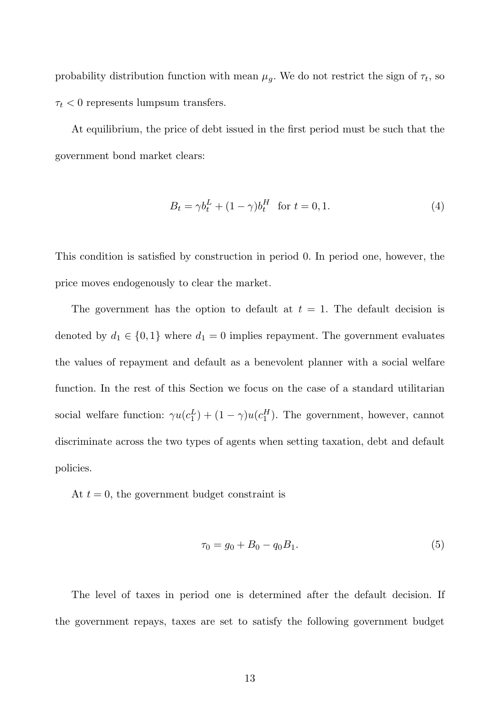probability distribution function with mean  $\mu_g$ . We do not restrict the sign of  $\tau_t$ , so  $\tau_t$  < 0 represents lumpsum transfers.

At equilibrium, the price of debt issued in the first period must be such that the government bond market clears:

$$
B_t = \gamma b_t^L + (1 - \gamma)b_t^H \text{ for } t = 0, 1.
$$
 (4)

This condition is satisfied by construction in period 0. In period one, however, the price moves endogenously to clear the market.

The government has the option to default at  $t = 1$ . The default decision is denoted by  $d_1 \in \{0,1\}$  where  $d_1 = 0$  implies repayment. The government evaluates the values of repayment and default as a benevolent planner with a social welfare function. In the rest of this Section we focus on the case of a standard utilitarian social welfare function:  $\gamma u(c_1^L) + (1 - \gamma)u(c_1^H)$ . The government, however, cannot discriminate across the two types of agents when setting taxation, debt and default policies.

At  $t = 0$ , the government budget constraint is

$$
\tau_0 = g_0 + B_0 - q_0 B_1. \tag{5}
$$

The level of taxes in period one is determined after the default decision. If the government repays, taxes are set to satisfy the following government budget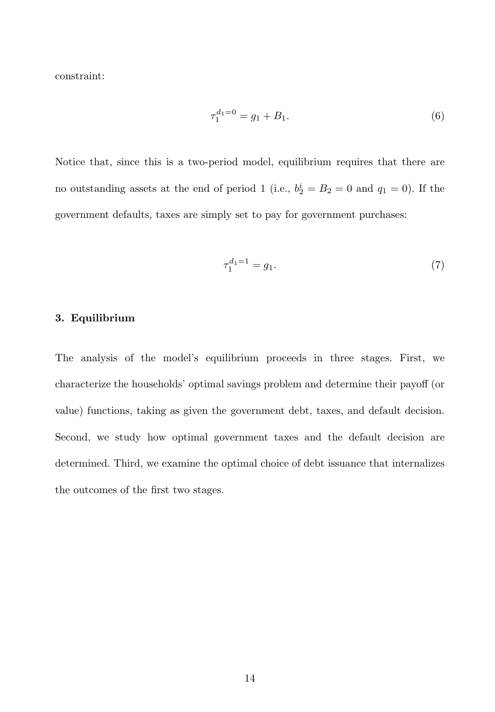constraint:

$$
\tau_1^{d_1=0} = g_1 + B_1. \tag{6}
$$

Notice that, since this is a two-period model, equilibrium requires that there are no outstanding assets at the end of period 1 (i.e.,  $b_2^i = B_2 = 0$  and  $q_1 = 0$ ). If the government defaults, taxes are simply set to pay for government purchases:

$$
\tau_1^{d_1=1} = g_1. \tag{7}
$$

# 3. Equilibrium

The analysis of the model's equilibrium proceeds in three stages. First, we characterize the households' optimal savings problem and determine their payoff (or value) functions, taking as given the government debt, taxes, and default decision. Second, we study how optimal government taxes and the default decision are determined. Third, we examine the optimal choice of debt issuance that internalizes the outcomes of the first two stages.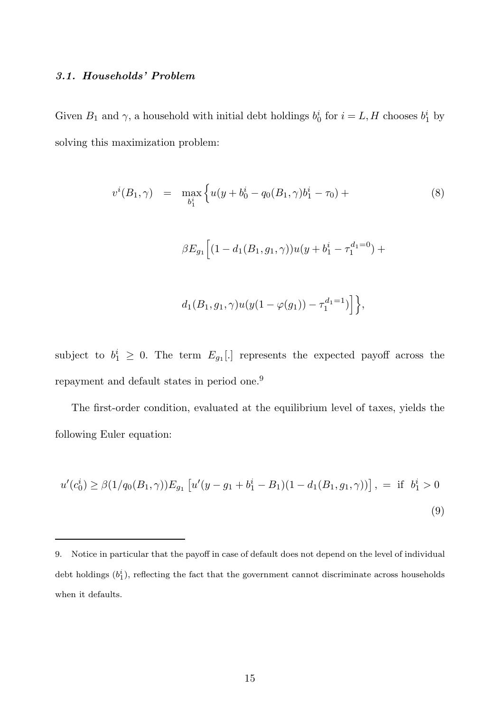# 3.1. Households' Problem

Given  $B_1$  and  $\gamma$ , a household with initial debt holdings  $b_0^i$  for  $i = L, H$  chooses  $b_1^i$  by solving this maximization problem:

$$
v^{i}(B_{1}, \gamma) = \max_{b_{1}^{i}} \left\{ u(y + b_{0}^{i} - q_{0}(B_{1}, \gamma)b_{1}^{i} - \tau_{0}) + \beta E_{g_{1}} \left[ (1 - d_{1}(B_{1}, g_{1}, \gamma))u(y + b_{1}^{i} - \tau_{1}^{d_{1} = 0}) + \beta E_{g_{1}} \left[ (1 - d_{1}(B_{1}, g_{1}, \gamma))u(y + b_{1}^{i} - \tau_{1}^{d_{1} = 1}) \right] \right\},
$$
\n
$$
(8)
$$

subject to  $b_1^i \geq 0$ . The term  $E_{g_1}$ . represents the expected payoff across the repayment and default states in period one.<sup>9</sup>

The first-order condition, evaluated at the equilibrium level of taxes, yields the following Euler equation:

$$
u'(c_0^i) \ge \beta(1/q_0(B_1, \gamma))E_{g_1} [u'(y - g_1 + b_1^i - B_1)(1 - d_1(B_1, g_1, \gamma))], = \text{if } b_1^i > 0
$$
\n(9)

<sup>9.</sup> Notice in particular that the payoff in case of default does not depend on the level of individual debt holdings  $(b_1^i)$ , reflecting the fact that the government cannot discriminate across households when it defaults.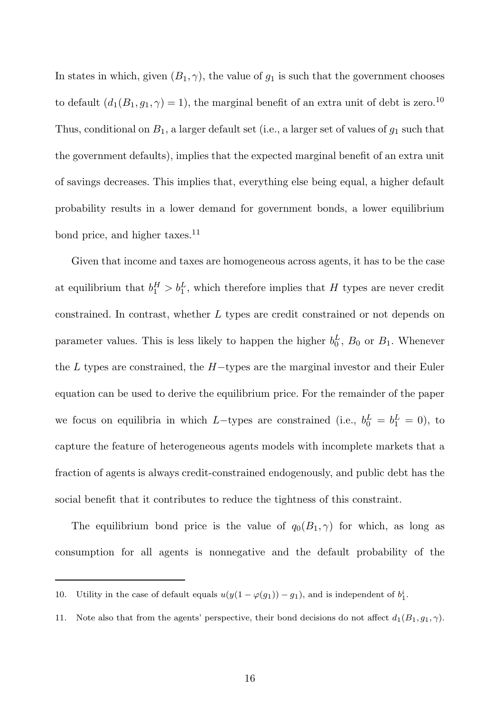In states in which, given  $(B_1, \gamma)$ , the value of  $g_1$  is such that the government chooses to default  $(d_1(B_1, g_1, \gamma) = 1)$ , the marginal benefit of an extra unit of debt is zero.<sup>10</sup> Thus, conditional on  $B_1$ , a larger default set (i.e., a larger set of values of  $g_1$  such that the government defaults), implies that the expected marginal benefit of an extra unit of savings decreases. This implies that, everything else being equal, a higher default probability results in a lower demand for government bonds, a lower equilibrium bond price, and higher taxes. $^{11}$ 

Given that income and taxes are homogeneous across agents, it has to be the case at equilibrium that  $b_1^H > b_1^L$ , which therefore implies that H types are never credit constrained. In contrast, whether L types are credit constrained or not depends on parameter values. This is less likely to happen the higher  $b_0^L$ ,  $B_0$  or  $B_1$ . Whenever the L types are constrained, the  $H$ -types are the marginal investor and their Euler equation can be used to derive the equilibrium price. For the remainder of the paper we focus on equilibria in which L-types are constrained (i.e.,  $b_0^L = b_1^L = 0$ ), to capture the feature of heterogeneous agents models with incomplete markets that a fraction of agents is always credit-constrained endogenously, and public debt has the social benefit that it contributes to reduce the tightness of this constraint.

The equilibrium bond price is the value of  $q_0(B_1, \gamma)$  for which, as long as consumption for all agents is nonnegative and the default probability of the

<sup>10.</sup> Utility in the case of default equals  $u(y(1 - \varphi(g_1)) - g_1)$ , and is independent of  $b_1^i$ .

<sup>11.</sup> Note also that from the agents' perspective, their bond decisions do not affect  $d_1(B_1, g_1, \gamma)$ .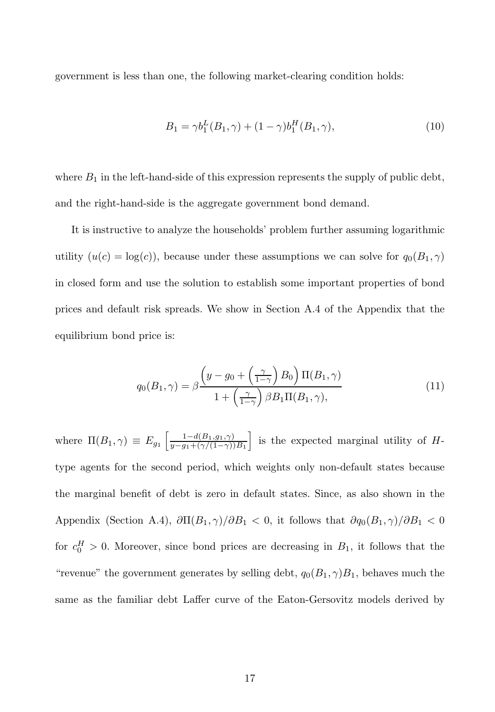government is less than one, the following market-clearing condition holds:

$$
B_1 = \gamma b_1^L(B_1, \gamma) + (1 - \gamma)b_1^H(B_1, \gamma), \qquad (10)
$$

where  $B_1$  in the left-hand-side of this expression represents the supply of public debt, and the right-hand-side is the aggregate government bond demand.

It is instructive to analyze the households' problem further assuming logarithmic utility  $(u(c) = \log(c))$ , because under these assumptions we can solve for  $q_0(B_1, \gamma)$ in closed form and use the solution to establish some important properties of bond prices and default risk spreads. We show in Section A.4 of the Appendix that the equilibrium bond price is:

$$
q_0(B_1, \gamma) = \beta \frac{\left(y - g_0 + \left(\frac{\gamma}{1 - \gamma}\right) B_0\right) \Pi(B_1, \gamma)}{1 + \left(\frac{\gamma}{1 - \gamma}\right) \beta B_1 \Pi(B_1, \gamma)},\tag{11}
$$

where  $\Pi(B_1, \gamma) \equiv E_{g_1} \left[ \frac{1 - d(B_1, g_1, \gamma)}{u - g_1 + (\gamma/(1 - \gamma))} \right]$  $y-g_1+(\gamma/(1-\gamma))B_1$ is the expected marginal utility of  $H$ type agents for the second period, which weights only non-default states because the marginal benefit of debt is zero in default states. Since, as also shown in the Appendix (Section A.4),  $\partial \Pi(B_1, \gamma)/\partial B_1 < 0$ , it follows that  $\partial q_0(B_1, \gamma)/\partial B_1 < 0$ for  $c_0^H > 0$ . Moreover, since bond prices are decreasing in  $B_1$ , it follows that the "revenue" the government generates by selling debt,  $q_0(B_1, \gamma)B_1$ , behaves much the same as the familiar debt Laffer curve of the Eaton-Gersovitz models derived by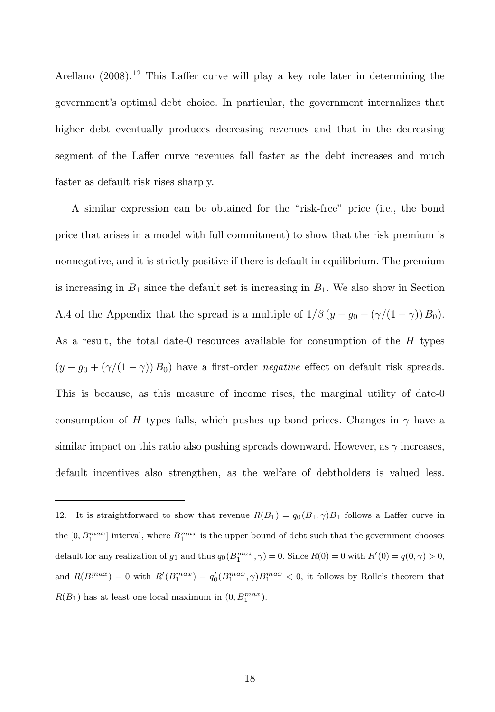Arellano  $(2008).^{12}$  This Laffer curve will play a key role later in determining the government's optimal debt choice. In particular, the government internalizes that higher debt eventually produces decreasing revenues and that in the decreasing segment of the Laffer curve revenues fall faster as the debt increases and much faster as default risk rises sharply.

A similar expression can be obtained for the "risk-free" price (i.e., the bond price that arises in a model with full commitment) to show that the risk premium is nonnegative, and it is strictly positive if there is default in equilibrium. The premium is increasing in  $B_1$  since the default set is increasing in  $B_1$ . We also show in Section A.4 of the Appendix that the spread is a multiple of  $1/\beta (y - g_0 + (\gamma/(1 - \gamma)) B_0)$ . As a result, the total date-0 resources available for consumption of the  $H$  types  $(y - g_0 + (\gamma/(1 - \gamma)) B_0)$  have a first-order *negative* effect on default risk spreads. This is because, as this measure of income rises, the marginal utility of date-0 consumption of H types falls, which pushes up bond prices. Changes in  $\gamma$  have a similar impact on this ratio also pushing spreads downward. However, as  $\gamma$  increases, default incentives also strengthen, as the welfare of debtholders is valued less.

<sup>12.</sup> It is straightforward to show that revenue  $R(B_1) = q_0(B_1, \gamma)B_1$  follows a Laffer curve in the  $[0, B_1^{max}]$  interval, where  $B_1^{max}$  is the upper bound of debt such that the government chooses default for any realization of  $g_1$  and thus  $q_0(B_1^{max}, \gamma) = 0$ . Since  $R(0) = 0$  with  $R'(0) = q(0, \gamma) > 0$ , and  $R(B_1^{max}) = 0$  with  $R'(B_1^{max}) = q'_0(B_1^{max}, \gamma)B_1^{max} < 0$ , it follows by Rolle's theorem that  $R(B_1)$  has at least one local maximum in  $(0, B_1^{max})$ .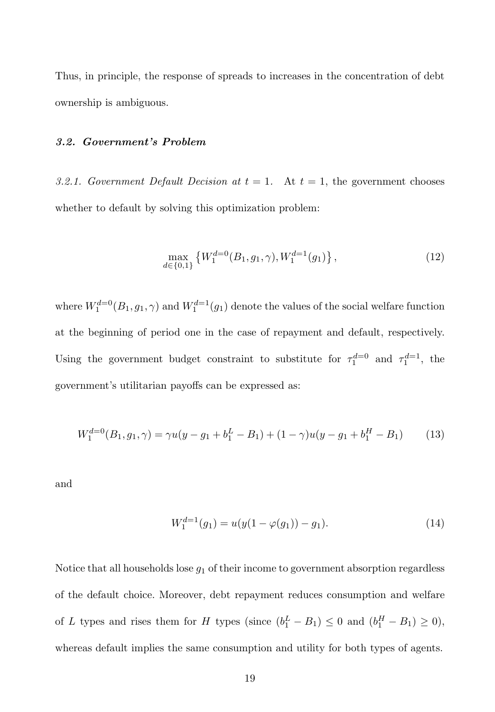Thus, in principle, the response of spreads to increases in the concentration of debt ownership is ambiguous.

# 3.2. Government's Problem

*3.2.1. Government Default Decision at*  $t = 1$ . At  $t = 1$ , the government chooses whether to default by solving this optimization problem:

$$
\max_{d \in \{0,1\}} \left\{ W_1^{d=0}(B_1, g_1, \gamma), W_1^{d=1}(g_1) \right\},\tag{12}
$$

where  $W_1^{d=0}(B_1, g_1, \gamma)$  and  $W_1^{d=1}(g_1)$  denote the values of the social welfare function at the beginning of period one in the case of repayment and default, respectively. Using the government budget constraint to substitute for  $\tau_1^{d=0}$  and  $\tau_1^{d=1}$ , the government's utilitarian payoffs can be expressed as:

$$
W_1^{d=0}(B_1, g_1, \gamma) = \gamma u(y - g_1 + b_1^L - B_1) + (1 - \gamma)u(y - g_1 + b_1^H - B_1)
$$
 (13)

and

$$
W_1^{d=1}(g_1) = u(y(1 - \varphi(g_1)) - g_1). \tag{14}
$$

Notice that all households lose  $g_1$  of their income to government absorption regardless of the default choice. Moreover, debt repayment reduces consumption and welfare of L types and rises them for H types (since  $(b_1^L - B_1) \le 0$  and  $(b_1^H - B_1) \ge 0$ ), whereas default implies the same consumption and utility for both types of agents.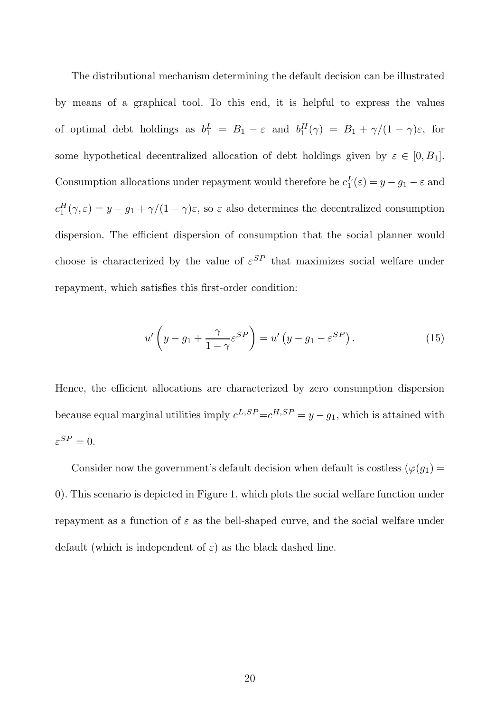The distributional mechanism determining the default decision can be illustrated by means of a graphical tool. To this end, it is helpful to express the values of optimal debt holdings as  $b_1^L = B_1 - \varepsilon$  and  $b_1^H(\gamma) = B_1 + \gamma/(1 - \gamma)\varepsilon$ , for some hypothetical decentralized allocation of debt holdings given by  $\varepsilon \in [0, B_1]$ . Consumption allocations under repayment would therefore be  $c_1^L(\varepsilon) = y - g_1 - \varepsilon$  and  $c_1^H(\gamma, \varepsilon) = y - g_1 + \gamma/(1 - \gamma)\varepsilon$ , so  $\varepsilon$  also determines the decentralized consumption dispersion. The efficient dispersion of consumption that the social planner would choose is characterized by the value of  $\varepsilon^{SP}$  that maximizes social welfare under repayment, which satisfies this first-order condition:

$$
u'\left(y - g_1 + \frac{\gamma}{1 - \gamma} \varepsilon^{SP}\right) = u'\left(y - g_1 - \varepsilon^{SP}\right). \tag{15}
$$

Hence, the efficient allocations are characterized by zero consumption dispersion because equal marginal utilities imply  $c^{L,SP} = c^{H,SP} = y - g_1$ , which is attained with  $\varepsilon^{SP}=0.$ 

Consider now the government's default decision when default is costless ( $\varphi(g_1)$ ) 0). This scenario is depicted in Figure 1, which plots the social welfare function under repayment as a function of  $\varepsilon$  as the bell-shaped curve, and the social welfare under default (which is independent of  $\varepsilon$ ) as the black dashed line.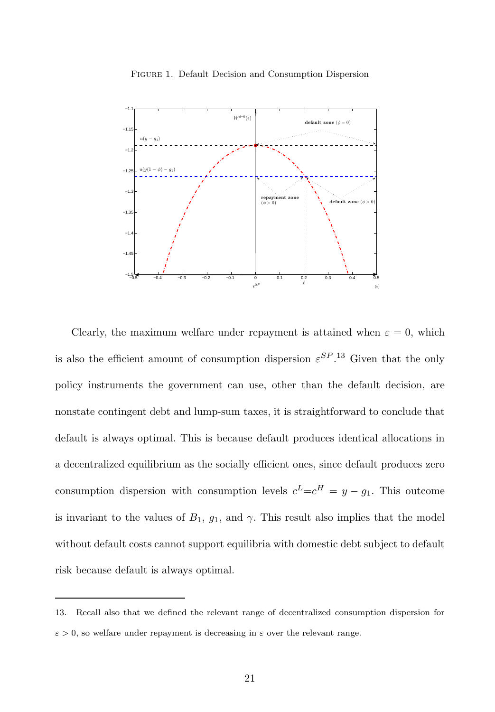

Figure 1. Default Decision and Consumption Dispersion

Clearly, the maximum welfare under repayment is attained when  $\varepsilon = 0$ , which is also the efficient amount of consumption dispersion  $\varepsilon^{SP}$ .<sup>13</sup> Given that the only policy instruments the government can use, other than the default decision, are nonstate contingent debt and lump-sum taxes, it is straightforward to conclude that default is always optimal. This is because default produces identical allocations in a decentralized equilibrium as the socially efficient ones, since default produces zero consumption dispersion with consumption levels  $c^L = c^H = y - g_1$ . This outcome is invariant to the values of  $B_1$ ,  $g_1$ , and  $\gamma$ . This result also implies that the model without default costs cannot support equilibria with domestic debt subject to default risk because default is always optimal.

<sup>13.</sup> Recall also that we defined the relevant range of decentralized consumption dispersion for  $\varepsilon > 0$ , so welfare under repayment is decreasing in  $\varepsilon$  over the relevant range.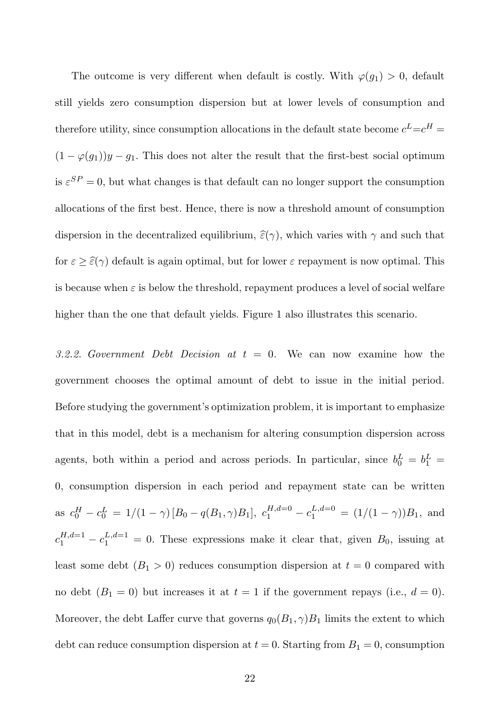The outcome is very different when default is costly. With  $\varphi(g_1) > 0$ , default still yields zero consumption dispersion but at lower levels of consumption and therefore utility, since consumption allocations in the default state become  $c^L = c^H =$  $(1 - \varphi(g_1))y - g_1$ . This does not alter the result that the first-best social optimum is  $\varepsilon^{SP} = 0$ , but what changes is that default can no longer support the consumption allocations of the first best. Hence, there is now a threshold amount of consumption dispersion in the decentralized equilibrium,  $\hat{\varepsilon}(\gamma)$ , which varies with  $\gamma$  and such that for  $\varepsilon \geq \hat{\varepsilon}(\gamma)$  default is again optimal, but for lower  $\varepsilon$  repayment is now optimal. This is because when  $\varepsilon$  is below the threshold, repayment produces a level of social welfare higher than the one that default yields. Figure 1 also illustrates this scenario.

*3.2.2. Government Debt Decision at* t = 0*.* We can now examine how the government chooses the optimal amount of debt to issue in the initial period. Before studying the government's optimization problem, it is important to emphasize that in this model, debt is a mechanism for altering consumption dispersion across agents, both within a period and across periods. In particular, since  $b_0^L = b_1^L =$ 0, consumption dispersion in each period and repayment state can be written as  $c_0^H - c_0^L = 1/(1 - \gamma) [B_0 - q(B_1, \gamma)B_1], c_1^{H, d=0} - c_1^{L, d=0} = (1/(1 - \gamma))B_1$ , and  $c_1^{H,d=1} - c_1^{L,d=1} = 0$ . These expressions make it clear that, given  $B_0$ , issuing at least some debt  $(B_1 > 0)$  reduces consumption dispersion at  $t = 0$  compared with no debt  $(B_1 = 0)$  but increases it at  $t = 1$  if the government repays (i.e.,  $d = 0$ ). Moreover, the debt Laffer curve that governs  $q_0(B_1, \gamma)B_1$  limits the extent to which debt can reduce consumption dispersion at  $t = 0$ . Starting from  $B_1 = 0$ , consumption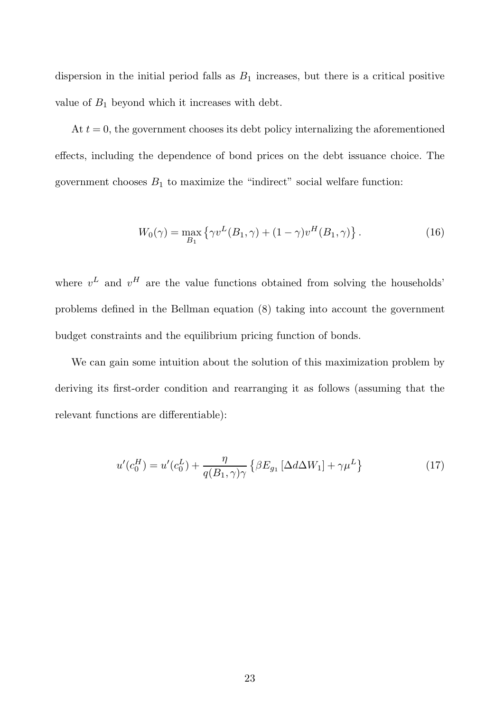dispersion in the initial period falls as  $B_1$  increases, but there is a critical positive value of  $B_1$  beyond which it increases with debt.

At  $t = 0$ , the government chooses its debt policy internalizing the aforementioned effects, including the dependence of bond prices on the debt issuance choice. The government chooses  $B_1$  to maximize the "indirect" social welfare function:

$$
W_0(\gamma) = \max_{B_1} \left\{ \gamma v^L(B_1, \gamma) + (1 - \gamma) v^H(B_1, \gamma) \right\}.
$$
 (16)

where  $v^L$  and  $v^H$  are the value functions obtained from solving the households' problems defined in the Bellman equation (8) taking into account the government budget constraints and the equilibrium pricing function of bonds.

We can gain some intuition about the solution of this maximization problem by deriving its first-order condition and rearranging it as follows (assuming that the relevant functions are differentiable):

$$
u'(c_0^H) = u'(c_0^L) + \frac{\eta}{q(B_1, \gamma)\gamma} \left\{ \beta E_{g_1} \left[ \Delta d \Delta W_1 \right] + \gamma \mu^L \right\}
$$
\n(17)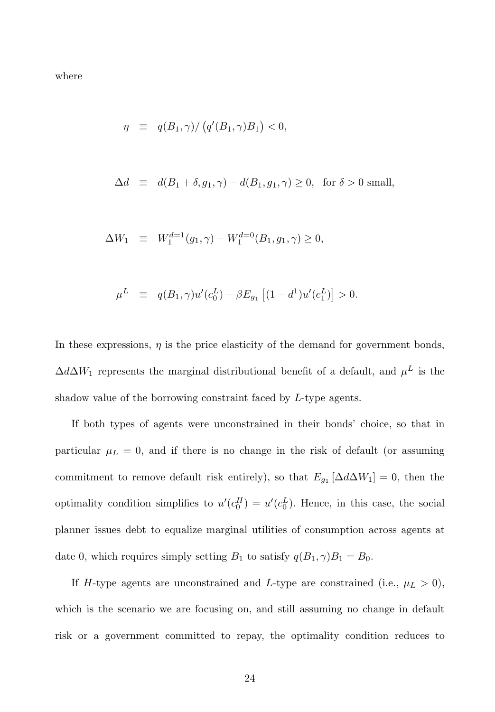where

$$
\eta \equiv q(B_1, \gamma) / (q'(B_1, \gamma)B_1) < 0,
$$

$$
\Delta d \equiv d(B_1 + \delta, g_1, \gamma) - d(B_1, g_1, \gamma) \ge 0, \text{ for } \delta > 0 \text{ small},
$$

$$
\Delta W_1 \equiv W_1^{d=1}(g_1, \gamma) - W_1^{d=0}(B_1, g_1, \gamma) \ge 0,
$$

$$
\mu^L \equiv q(B_1, \gamma) u'(c_0^L) - \beta E_{g_1} [(1 - d^1) u'(c_1^L)] > 0.
$$

In these expressions,  $\eta$  is the price elasticity of the demand for government bonds,  $\Delta d\Delta W_1$  represents the marginal distributional benefit of a default, and  $\mu^L$  is the shadow value of the borrowing constraint faced by L-type agents.

If both types of agents were unconstrained in their bonds' choice, so that in particular  $\mu_L = 0$ , and if there is no change in the risk of default (or assuming commitment to remove default risk entirely), so that  $E_{g_1}[\Delta d\Delta W_1] = 0$ , then the optimality condition simplifies to  $u'(c_0^H) = u'(c_0^L)$ . Hence, in this case, the social planner issues debt to equalize marginal utilities of consumption across agents at date 0, which requires simply setting  $B_1$  to satisfy  $q(B_1, \gamma)B_1 = B_0$ .

If H-type agents are unconstrained and L-type are constrained (i.e.,  $\mu_L > 0$ ), which is the scenario we are focusing on, and still assuming no change in default risk or a government committed to repay, the optimality condition reduces to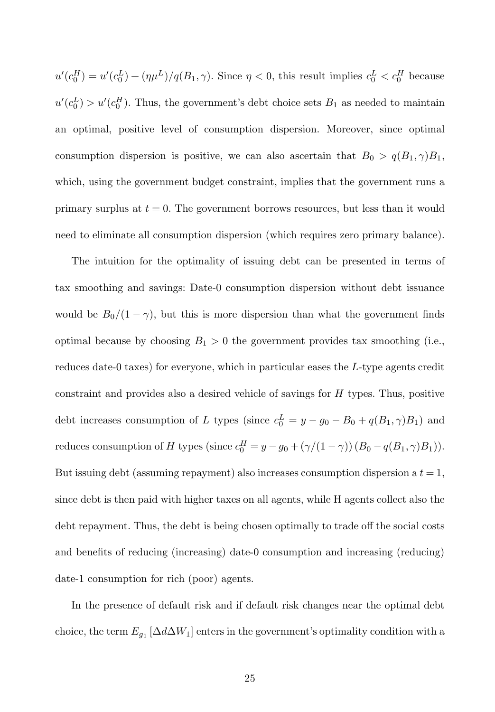$u'(c_0^H) = u'(c_0^L) + (\eta \mu^L)/q(B_1, \gamma)$ . Since  $\eta < 0$ , this result implies  $c_0^L < c_0^H$  because  $u'(c_0^L) > u'(c_0^H)$ . Thus, the government's debt choice sets  $B_1$  as needed to maintain an optimal, positive level of consumption dispersion. Moreover, since optimal consumption dispersion is positive, we can also ascertain that  $B_0 > q(B_1, \gamma)B_1$ , which, using the government budget constraint, implies that the government runs a primary surplus at  $t = 0$ . The government borrows resources, but less than it would need to eliminate all consumption dispersion (which requires zero primary balance).

The intuition for the optimality of issuing debt can be presented in terms of tax smoothing and savings: Date-0 consumption dispersion without debt issuance would be  $B_0/(1 - \gamma)$ , but this is more dispersion than what the government finds optimal because by choosing  $B_1 > 0$  the government provides tax smoothing (i.e., reduces date-0 taxes) for everyone, which in particular eases the L-type agents credit constraint and provides also a desired vehicle of savings for H types. Thus, positive debt increases consumption of L types (since  $c_0^L = y - g_0 - B_0 + q(B_1, \gamma)B_1$ ) and reduces consumption of H types (since  $c_0^H = y - g_0 + (\gamma/(1-\gamma))(B_0 - q(B_1, \gamma)B_1)$ ). But issuing debt (assuming repayment) also increases consumption dispersion a  $t = 1$ , since debt is then paid with higher taxes on all agents, while H agents collect also the debt repayment. Thus, the debt is being chosen optimally to trade off the social costs and benefits of reducing (increasing) date-0 consumption and increasing (reducing) date-1 consumption for rich (poor) agents.

In the presence of default risk and if default risk changes near the optimal debt choice, the term  $E_{g_1}$  [ $\Delta d\Delta W_1$ ] enters in the government's optimality condition with a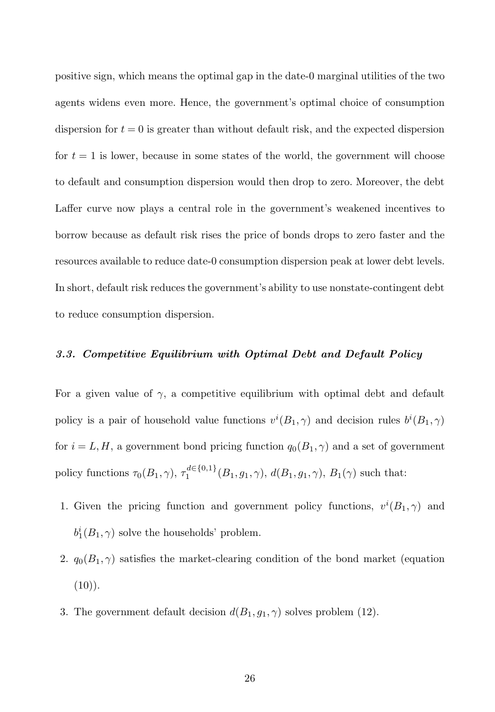positive sign, which means the optimal gap in the date-0 marginal utilities of the two agents widens even more. Hence, the government's optimal choice of consumption dispersion for  $t = 0$  is greater than without default risk, and the expected dispersion for  $t = 1$  is lower, because in some states of the world, the government will choose to default and consumption dispersion would then drop to zero. Moreover, the debt Laffer curve now plays a central role in the government's weakened incentives to borrow because as default risk rises the price of bonds drops to zero faster and the resources available to reduce date-0 consumption dispersion peak at lower debt levels. In short, default risk reduces the government's ability to use nonstate-contingent debt to reduce consumption dispersion.

#### 3.3. Competitive Equilibrium with Optimal Debt and Default Policy

For a given value of  $\gamma$ , a competitive equilibrium with optimal debt and default policy is a pair of household value functions  $v^{i}(B_1, \gamma)$  and decision rules  $b^{i}(B_1, \gamma)$ for  $i = L, H$ , a government bond pricing function  $q_0(B_1, \gamma)$  and a set of government policy functions  $\tau_0(B_1, \gamma)$ ,  $\tau_1^{d \in \{0,1\}}$  $i_1^{a \in \{0,1\}}(B_1, g_1, \gamma), d(B_1, g_1, \gamma), B_1(\gamma)$  such that:

- 1. Given the pricing function and government policy functions,  $v^{i}(B_1, \gamma)$  and  $b_1^i(B_1, \gamma)$  solve the households' problem.
- 2.  $q_0(B_1, \gamma)$  satisfies the market-clearing condition of the bond market (equation  $(10)$ .
- 3. The government default decision  $d(B_1, g_1, \gamma)$  solves problem (12).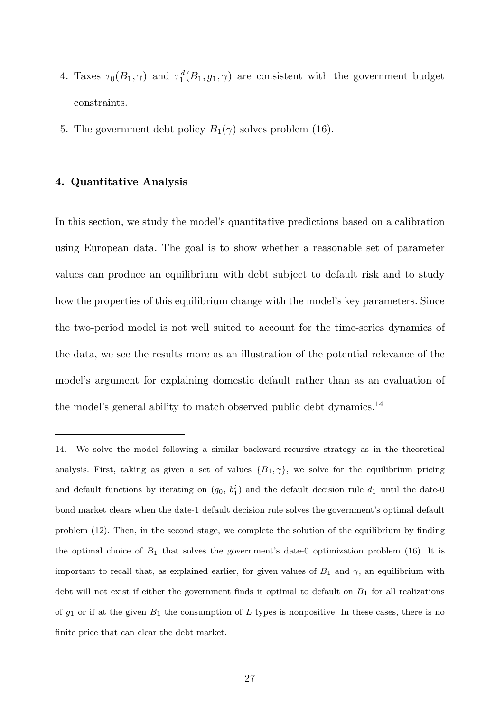- 4. Taxes  $\tau_0(B_1, \gamma)$  and  $\tau_1^d(B_1, g_1, \gamma)$  are consistent with the government budget constraints.
- 5. The government debt policy  $B_1(\gamma)$  solves problem (16).

#### 4. Quantitative Analysis

In this section, we study the model's quantitative predictions based on a calibration using European data. The goal is to show whether a reasonable set of parameter values can produce an equilibrium with debt subject to default risk and to study how the properties of this equilibrium change with the model's key parameters. Since the two-period model is not well suited to account for the time-series dynamics of the data, we see the results more as an illustration of the potential relevance of the model's argument for explaining domestic default rather than as an evaluation of the model's general ability to match observed public debt dynamics.<sup>14</sup>

<sup>14.</sup> We solve the model following a similar backward-recursive strategy as in the theoretical analysis. First, taking as given a set of values  $\{B_1, \gamma\}$ , we solve for the equilibrium pricing and default functions by iterating on  $(q_0, b_1^i)$  and the default decision rule  $d_1$  until the date-0 bond market clears when the date-1 default decision rule solves the government's optimal default problem (12). Then, in the second stage, we complete the solution of the equilibrium by finding the optimal choice of  $B_1$  that solves the government's date-0 optimization problem (16). It is important to recall that, as explained earlier, for given values of  $B_1$  and  $\gamma$ , an equilibrium with debt will not exist if either the government finds it optimal to default on  $B_1$  for all realizations of  $g_1$  or if at the given  $B_1$  the consumption of L types is nonpositive. In these cases, there is no finite price that can clear the debt market.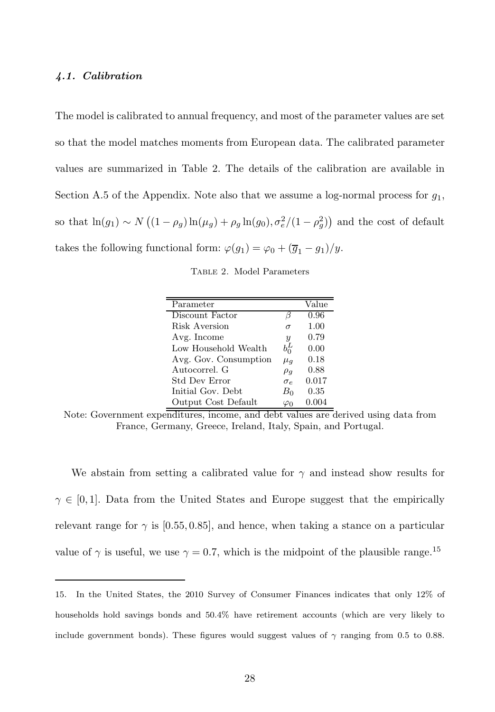#### 4.1. Calibration

The model is calibrated to annual frequency, and most of the parameter values are set so that the model matches moments from European data. The calibrated parameter values are summarized in Table 2. The details of the calibration are available in Section A.5 of the Appendix. Note also that we assume a log-normal process for  $g_1$ , so that  $\ln(g_1) \sim N((1 - \rho_g) \ln(\mu_g) + \rho_g \ln(g_0), \sigma_e^2/(1 - \rho_g^2))$  and the cost of default takes the following functional form:  $\varphi(g_1) = \varphi_0 + (\overline{g}_1 - g_1)/y$ .

Table 2. Model Parameters

| Parameter             |                     | Value |
|-----------------------|---------------------|-------|
| Discount Factor       | H                   | 0.96  |
| Risk Aversion         | $\sigma$            | 1.00  |
| Avg. Income           | $\boldsymbol{y}$    | 0.79  |
| Low Household Wealth  | $b_0^L$             | 0.00  |
| Avg. Gov. Consumption | $\mu_q$             | 0.18  |
| Autocorrel. G         | $\rho_g$            | 0.88  |
| <b>Std Dev Error</b>  | $\sigma_{\epsilon}$ | 0.017 |
| Initial Gov. Debt.    | $B_0$               | 0.35  |
| Output Cost Default   |                     | 0.004 |

Note: Government expenditures, income, and debt values are derived using data from France, Germany, Greece, Ireland, Italy, Spain, and Portugal.

We abstain from setting a calibrated value for  $\gamma$  and instead show results for  $\gamma \in [0,1]$ . Data from the United States and Europe suggest that the empirically relevant range for  $\gamma$  is [0.55, 0.85], and hence, when taking a stance on a particular value of  $\gamma$  is useful, we use  $\gamma = 0.7$ , which is the midpoint of the plausible range.<sup>15</sup>

<sup>15.</sup> In the United States, the 2010 Survey of Consumer Finances indicates that only 12% of households hold savings bonds and 50.4% have retirement accounts (which are very likely to include government bonds). These figures would suggest values of  $\gamma$  ranging from 0.5 to 0.88.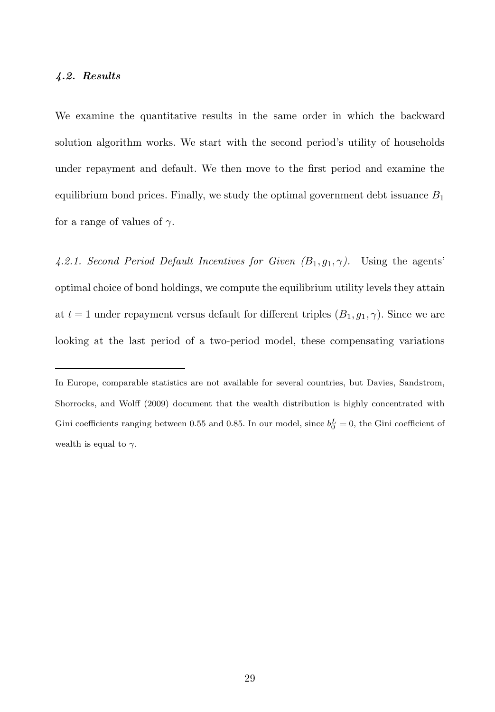#### 4.2. Results

We examine the quantitative results in the same order in which the backward solution algorithm works. We start with the second period's utility of households under repayment and default. We then move to the first period and examine the equilibrium bond prices. Finally, we study the optimal government debt issuance  $B_1$ for a range of values of  $\gamma$ .

4.2.1. Second Period Default Incentives for Given  $(B_1, g_1, \gamma)$ . Using the agents' optimal choice of bond holdings, we compute the equilibrium utility levels they attain at  $t = 1$  under repayment versus default for different triples  $(B_1, g_1, \gamma)$ . Since we are looking at the last period of a two-period model, these compensating variations

In Europe, comparable statistics are not available for several countries, but Davies, Sandstrom, Shorrocks, and Wolff (2009) document that the wealth distribution is highly concentrated with Gini coefficients ranging between 0.55 and 0.85. In our model, since  $b_0^L = 0$ , the Gini coefficient of wealth is equal to  $\gamma$ .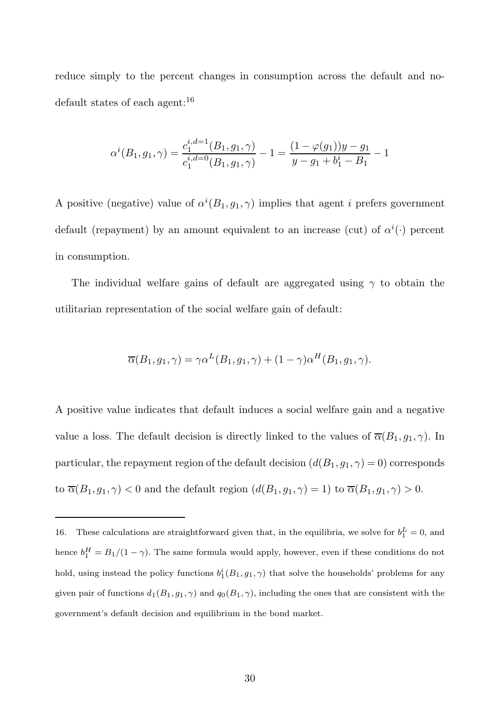reduce simply to the percent changes in consumption across the default and nodefault states of each agent:<sup>16</sup>

$$
\alpha^{i}(B_1, g_1, \gamma) = \frac{c_1^{i, d=1}(B_1, g_1, \gamma)}{c_1^{i, d=0}(B_1, g_1, \gamma)} - 1 = \frac{(1 - \varphi(g_1))y - g_1}{y - g_1 + b_1^i - B_1} - 1
$$

A positive (negative) value of  $\alpha^{i}(B_1, g_1, \gamma)$  implies that agent i prefers government default (repayment) by an amount equivalent to an increase (cut) of  $\alpha^{i}(\cdot)$  percent in consumption.

The individual welfare gains of default are aggregated using  $\gamma$  to obtain the utilitarian representation of the social welfare gain of default:

$$
\overline{\alpha}(B_1, g_1, \gamma) = \gamma \alpha^L(B_1, g_1, \gamma) + (1 - \gamma) \alpha^H(B_1, g_1, \gamma).
$$

A positive value indicates that default induces a social welfare gain and a negative value a loss. The default decision is directly linked to the values of  $\overline{\alpha}(B_1, g_1, \gamma)$ . In particular, the repayment region of the default decision  $(d(B_1, g_1, \gamma) = 0)$  corresponds to  $\overline{\alpha}(B_1, g_1, \gamma) < 0$  and the default region  $(d(B_1, g_1, \gamma) = 1)$  to  $\overline{\alpha}(B_1, g_1, \gamma) > 0$ .

<sup>16.</sup> These calculations are straightforward given that, in the equilibria, we solve for  $b_1^L = 0$ , and hence  $b_1^H = B_1/(1 - \gamma)$ . The same formula would apply, however, even if these conditions do not hold, using instead the policy functions  $b_1^i(B_1, g_1, \gamma)$  that solve the households' problems for any given pair of functions  $d_1(B_1, g_1, \gamma)$  and  $q_0(B_1, \gamma)$ , including the ones that are consistent with the government's default decision and equilibrium in the bond market.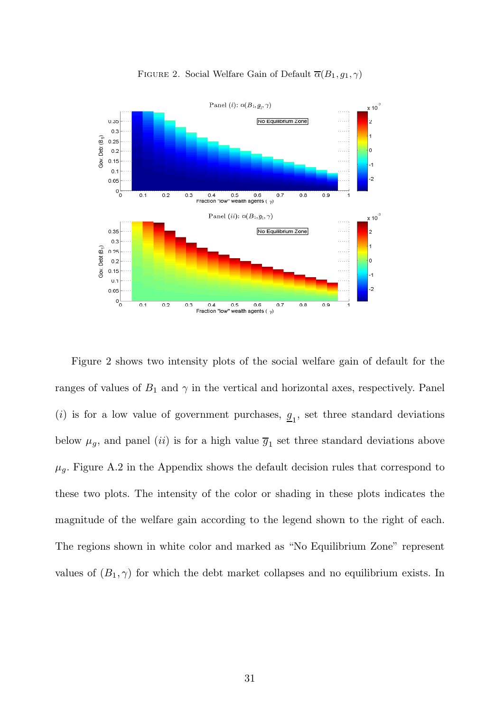

FIGURE 2. Social Welfare Gain of Default  $\overline{\alpha}(B_1, g_1, \gamma)$ 

Figure 2 shows two intensity plots of the social welfare gain of default for the ranges of values of  $B_1$  and  $\gamma$  in the vertical and horizontal axes, respectively. Panel (*i*) is for a low value of government purchases,  $\mathbf{g}_1$ , set three standard deviations below  $\mu_g$ , and panel *(ii)* is for a high value  $\overline{g}_1$  set three standard deviations above  $\mu_g$ . Figure A.2 in the Appendix shows the default decision rules that correspond to these two plots. The intensity of the color or shading in these plots indicates the magnitude of the welfare gain according to the legend shown to the right of each. The regions shown in white color and marked as "No Equilibrium Zone" represent values of  $(B_1, \gamma)$  for which the debt market collapses and no equilibrium exists. In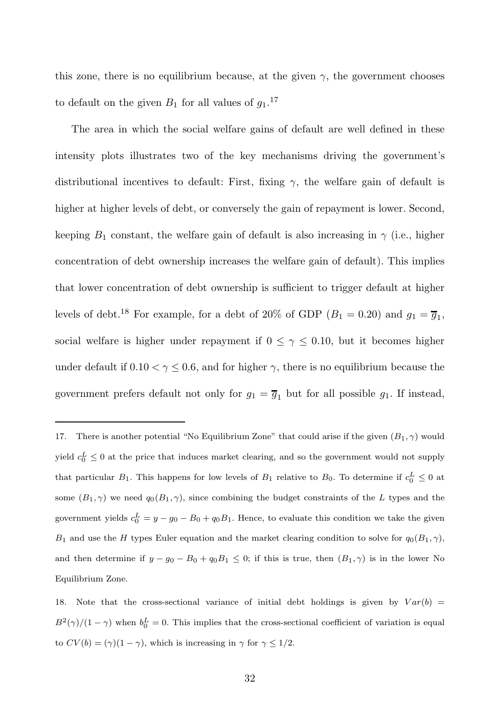this zone, there is no equilibrium because, at the given  $\gamma$ , the government chooses to default on the given  $B_1$  for all values of  $g_1$ .<sup>17</sup>

The area in which the social welfare gains of default are well defined in these intensity plots illustrates two of the key mechanisms driving the government's distributional incentives to default: First, fixing  $\gamma$ , the welfare gain of default is higher at higher levels of debt, or conversely the gain of repayment is lower. Second, keeping  $B_1$  constant, the welfare gain of default is also increasing in  $\gamma$  (i.e., higher concentration of debt ownership increases the welfare gain of default). This implies that lower concentration of debt ownership is sufficient to trigger default at higher levels of debt.<sup>18</sup> For example, for a debt of 20% of GDP  $(B_1 = 0.20)$  and  $g_1 = \overline{g}_1$ , social welfare is higher under repayment if  $0 \leq \gamma \leq 0.10$ , but it becomes higher under default if  $0.10 < \gamma \leq 0.6$ , and for higher  $\gamma$ , there is no equilibrium because the government prefers default not only for  $g_1 = \overline{g}_1$  but for all possible  $g_1$ . If instead,

<sup>17.</sup> There is another potential "No Equilibrium Zone" that could arise if the given  $(B_1, \gamma)$  would yield  $c_0^L \leq 0$  at the price that induces market clearing, and so the government would not supply that particular  $B_1$ . This happens for low levels of  $B_1$  relative to  $B_0$ . To determine if  $c_0^L \leq 0$  at some  $(B_1, \gamma)$  we need  $q_0(B_1, \gamma)$ , since combining the budget constraints of the L types and the government yields  $c_0^L = y - g_0 - B_0 + q_0 B_1$ . Hence, to evaluate this condition we take the given  $B_1$  and use the H types Euler equation and the market clearing condition to solve for  $q_0(B_1, \gamma)$ , and then determine if  $y - g_0 - B_0 + q_0 B_1 \leq 0$ ; if this is true, then  $(B_1, \gamma)$  is in the lower No Equilibrium Zone.

<sup>18.</sup> Note that the cross-sectional variance of initial debt holdings is given by  $Var(b)$  =  $B^2(\gamma)/(1-\gamma)$  when  $b_0^L=0$ . This implies that the cross-sectional coefficient of variation is equal to  $CV(b) = (\gamma)(1 - \gamma)$ , which is increasing in  $\gamma$  for  $\gamma \leq 1/2$ .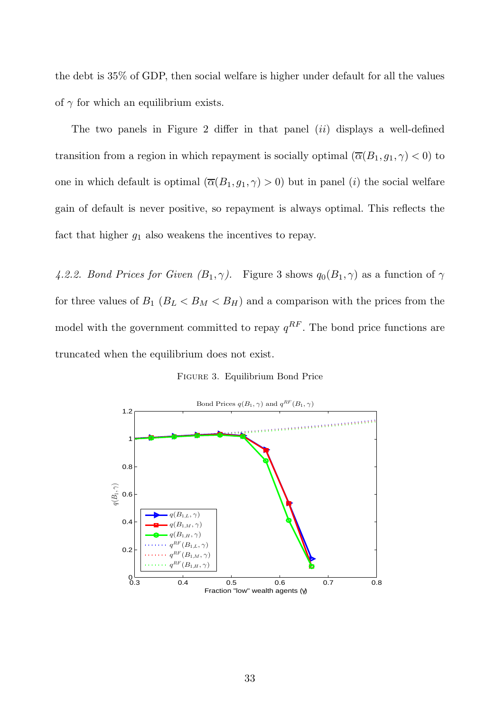the debt is 35% of GDP, then social welfare is higher under default for all the values of  $\gamma$  for which an equilibrium exists.

The two panels in Figure 2 differ in that panel  $(ii)$  displays a well-defined transition from a region in which repayment is socially optimal  $(\overline{\alpha}(B_1, g_1, \gamma) < 0)$  to one in which default is optimal  $(\overline{\alpha}(B_1, g_1, \gamma) > 0)$  but in panel (i) the social welfare gain of default is never positive, so repayment is always optimal. This reflects the fact that higher  $g_1$  also weakens the incentives to repay.

*4.2.2. Bond Prices for Given*  $(B_1, \gamma)$ *.* Figure 3 shows  $q_0(B_1, \gamma)$  as a function of  $\gamma$ for three values of  $B_1$  ( $B_L < B_M < B_H$ ) and a comparison with the prices from the model with the government committed to repay  $q^{RF}$ . The bond price functions are truncated when the equilibrium does not exist.

Figure 3. Equilibrium Bond Price

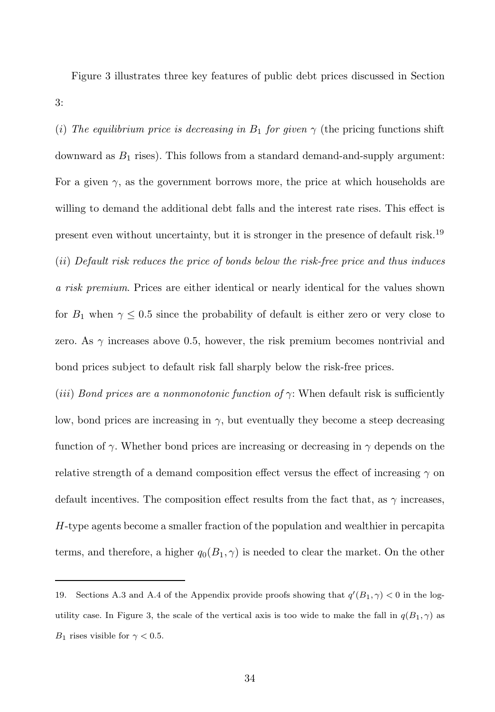Figure 3 illustrates three key features of public debt prices discussed in Section 3:

(*i*) The equilibrium price is decreasing in  $B_1$  for given  $\gamma$  (the pricing functions shift downward as  $B_1$  rises). This follows from a standard demand-and-supply argument: For a given  $\gamma$ , as the government borrows more, the price at which households are willing to demand the additional debt falls and the interest rate rises. This effect is present even without uncertainty, but it is stronger in the presence of default risk.<sup>19</sup> (ii) *Default risk reduces the price of bonds below the risk-free price and thus induces a risk premium*. Prices are either identical or nearly identical for the values shown for  $B_1$  when  $\gamma \leq 0.5$  since the probability of default is either zero or very close to zero. As  $\gamma$  increases above 0.5, however, the risk premium becomes nontrivial and bond prices subject to default risk fall sharply below the risk-free prices.

(*iii*) *Bond prices are a nonmonotonic function of*  $\gamma$ : When default risk is sufficiently low, bond prices are increasing in  $\gamma$ , but eventually they become a steep decreasing function of  $\gamma$ . Whether bond prices are increasing or decreasing in  $\gamma$  depends on the relative strength of a demand composition effect versus the effect of increasing  $\gamma$  on default incentives. The composition effect results from the fact that, as  $\gamma$  increases, H-type agents become a smaller fraction of the population and wealthier in percapita terms, and therefore, a higher  $q_0(B_1, \gamma)$  is needed to clear the market. On the other

<sup>19.</sup> Sections A.3 and A.4 of the Appendix provide proofs showing that  $q'(B_1, \gamma) < 0$  in the logutility case. In Figure 3, the scale of the vertical axis is too wide to make the fall in  $q(B_1, \gamma)$  as  $B_1$  rises visible for  $\gamma < 0.5$ .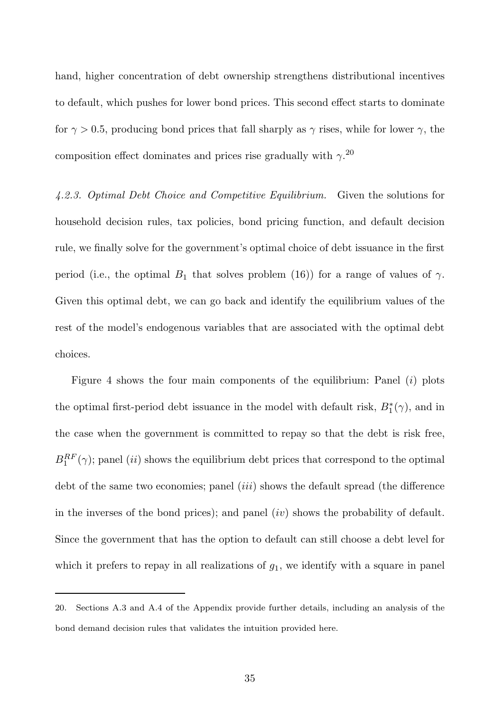hand, higher concentration of debt ownership strengthens distributional incentives to default, which pushes for lower bond prices. This second effect starts to dominate for  $\gamma > 0.5$ , producing bond prices that fall sharply as  $\gamma$  rises, while for lower  $\gamma$ , the composition effect dominates and prices rise gradually with  $\gamma$ <sup>20</sup>

*4.2.3. Optimal Debt Choice and Competitive Equilibrium.* Given the solutions for household decision rules, tax policies, bond pricing function, and default decision rule, we finally solve for the government's optimal choice of debt issuance in the first period (i.e., the optimal  $B_1$  that solves problem (16)) for a range of values of  $\gamma$ . Given this optimal debt, we can go back and identify the equilibrium values of the rest of the model's endogenous variables that are associated with the optimal debt choices.

Figure 4 shows the four main components of the equilibrium: Panel  $(i)$  plots the optimal first-period debt issuance in the model with default risk,  $B_1^*(\gamma)$ , and in the case when the government is committed to repay so that the debt is risk free,  $B_1^{RF}(\gamma)$ ; panel *(ii)* shows the equilibrium debt prices that correspond to the optimal debt of the same two economies; panel *(iii)* shows the default spread *(the difference* in the inverses of the bond prices); and panel  $(iv)$  shows the probability of default. Since the government that has the option to default can still choose a debt level for which it prefers to repay in all realizations of  $g_1$ , we identify with a square in panel

<sup>20.</sup> Sections A.3 and A.4 of the Appendix provide further details, including an analysis of the bond demand decision rules that validates the intuition provided here.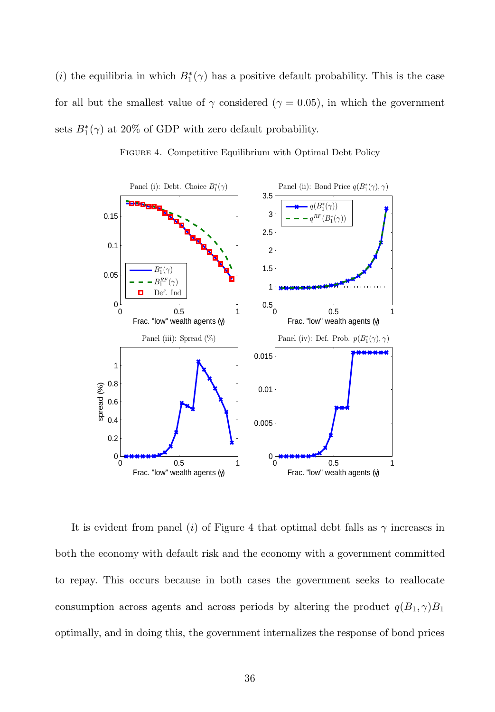(*i*) the equilibria in which  $B_1^*(\gamma)$  has a positive default probability. This is the case for all but the smallest value of  $\gamma$  considered ( $\gamma = 0.05$ ), in which the government sets  $B_1^*(\gamma)$  at 20% of GDP with zero default probability.



FIGURE 4. Competitive Equilibrium with Optimal Debt Policy

It is evident from panel (i) of Figure 4 that optimal debt falls as  $\gamma$  increases in both the economy with default risk and the economy with a government committed to repay. This occurs because in both cases the government seeks to reallocate consumption across agents and across periods by altering the product  $q(B_1, \gamma)B_1$ optimally, and in doing this, the government internalizes the response of bond prices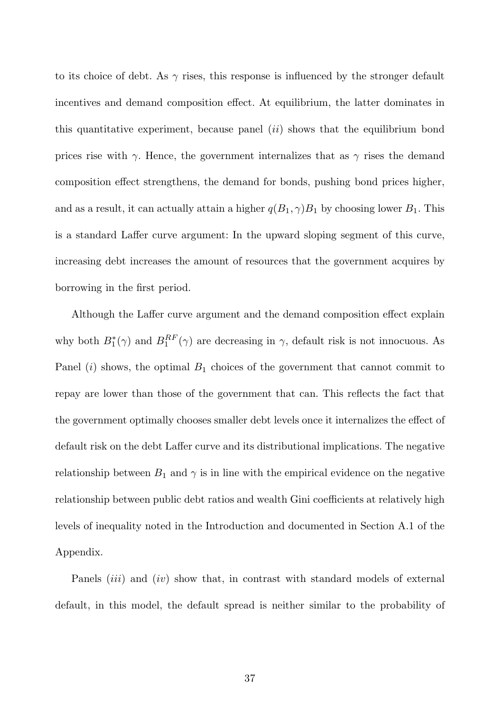to its choice of debt. As  $\gamma$  rises, this response is influenced by the stronger default incentives and demand composition effect. At equilibrium, the latter dominates in this quantitative experiment, because panel  $(ii)$  shows that the equilibrium bond prices rise with  $\gamma$ . Hence, the government internalizes that as  $\gamma$  rises the demand composition effect strengthens, the demand for bonds, pushing bond prices higher, and as a result, it can actually attain a higher  $q(B_1, \gamma)B_1$  by choosing lower  $B_1$ . This is a standard Laffer curve argument: In the upward sloping segment of this curve, increasing debt increases the amount of resources that the government acquires by borrowing in the first period.

Although the Laffer curve argument and the demand composition effect explain why both  $B_1^*(\gamma)$  and  $B_1^{RF}(\gamma)$  are decreasing in  $\gamma$ , default risk is not innocuous. As Panel  $(i)$  shows, the optimal  $B_1$  choices of the government that cannot commit to repay are lower than those of the government that can. This reflects the fact that the government optimally chooses smaller debt levels once it internalizes the effect of default risk on the debt Laffer curve and its distributional implications. The negative relationship between  $B_1$  and  $\gamma$  is in line with the empirical evidence on the negative relationship between public debt ratios and wealth Gini coefficients at relatively high levels of inequality noted in the Introduction and documented in Section A.1 of the Appendix.

Panels  $(iii)$  and  $(iv)$  show that, in contrast with standard models of external default, in this model, the default spread is neither similar to the probability of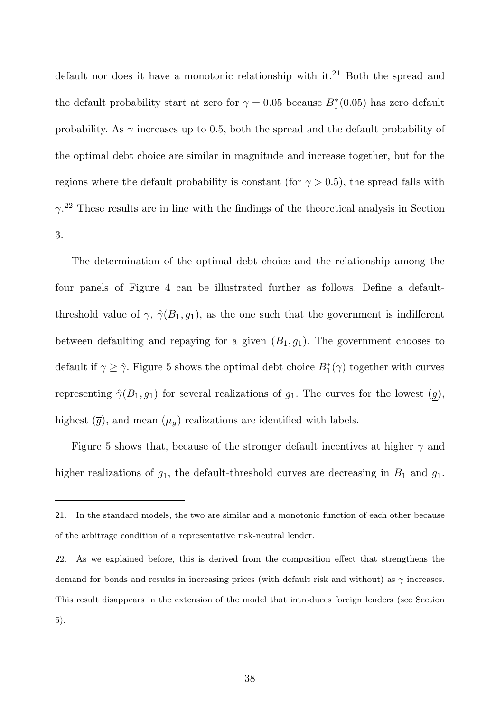default nor does it have a monotonic relationship with it.<sup>21</sup> Both the spread and the default probability start at zero for  $\gamma = 0.05$  because  $B_1^*(0.05)$  has zero default probability. As  $\gamma$  increases up to 0.5, both the spread and the default probability of the optimal debt choice are similar in magnitude and increase together, but for the regions where the default probability is constant (for  $\gamma > 0.5$ ), the spread falls with  $\gamma$ <sup>22</sup> These results are in line with the findings of the theoretical analysis in Section 3.

The determination of the optimal debt choice and the relationship among the four panels of Figure 4 can be illustrated further as follows. Define a defaultthreshold value of  $\gamma$ ,  $\hat{\gamma}(B_1, g_1)$ , as the one such that the government is indifferent between defaulting and repaying for a given  $(B_1, g_1)$ . The government chooses to default if  $\gamma \geq \hat{\gamma}$ . Figure 5 shows the optimal debt choice  $B_1^*(\gamma)$  together with curves representing  $\hat{\gamma}(B_1, g_1)$  for several realizations of  $g_1$ . The curves for the lowest  $(g)$ , highest  $(\overline{g})$ , and mean  $(\mu_g)$  realizations are identified with labels.

Figure 5 shows that, because of the stronger default incentives at higher  $\gamma$  and higher realizations of  $g_1$ , the default-threshold curves are decreasing in  $B_1$  and  $g_1$ .

<sup>21.</sup> In the standard models, the two are similar and a monotonic function of each other because of the arbitrage condition of a representative risk-neutral lender.

<sup>22.</sup> As we explained before, this is derived from the composition effect that strengthens the demand for bonds and results in increasing prices (with default risk and without) as  $\gamma$  increases. This result disappears in the extension of the model that introduces foreign lenders (see Section 5).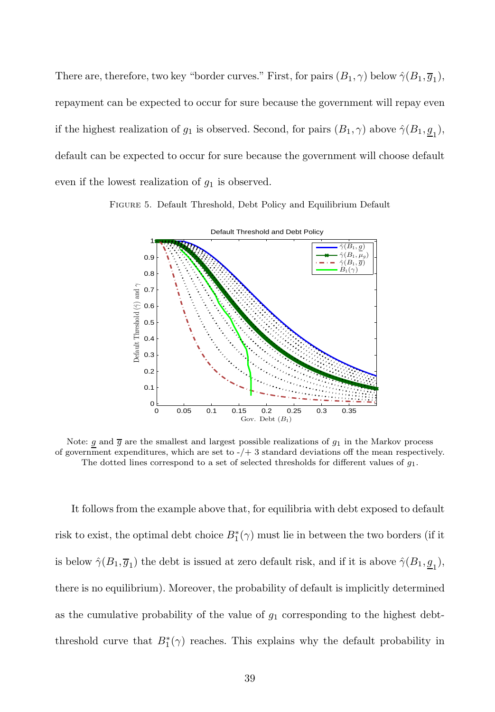There are, therefore, two key "border curves." First, for pairs  $(B_1, \gamma)$  below  $\hat{\gamma}(B_1, \overline{g}_1)$ , repayment can be expected to occur for sure because the government will repay even if the highest realization of  $g_1$  is observed. Second, for pairs  $(B_1, \gamma)$  above  $\hat{\gamma}(B_1, \underline{g}_1)$ , default can be expected to occur for sure because the government will choose default even if the lowest realization of  $g_1$  is observed.

Figure 5. Default Threshold, Debt Policy and Equilibrium Default



Note: g and  $\overline{g}$  are the smallest and largest possible realizations of  $g_1$  in the Markov process of government expenditures, which are set to  $-/+$  3 standard deviations off the mean respectively. The dotted lines correspond to a set of selected thresholds for different values of  $g_1$ .

It follows from the example above that, for equilibria with debt exposed to default risk to exist, the optimal debt choice  $B_1^*(\gamma)$  must lie in between the two borders (if it is below  $\hat{\gamma}(B_1, \overline{g}_1)$  the debt is issued at zero default risk, and if it is above  $\hat{\gamma}(B_1, \underline{g}_1)$ , there is no equilibrium). Moreover, the probability of default is implicitly determined as the cumulative probability of the value of  $g_1$  corresponding to the highest debtthreshold curve that  $B_1^*(\gamma)$  reaches. This explains why the default probability in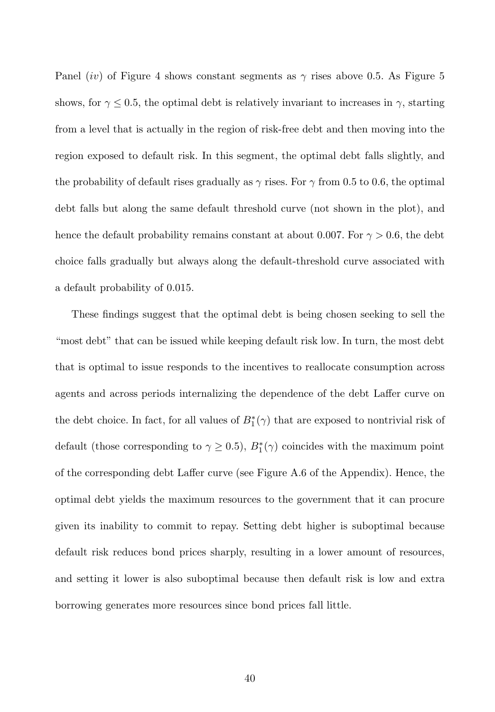Panel (iv) of Figure 4 shows constant segments as  $\gamma$  rises above 0.5. As Figure 5 shows, for  $\gamma \leq 0.5$ , the optimal debt is relatively invariant to increases in  $\gamma$ , starting from a level that is actually in the region of risk-free debt and then moving into the region exposed to default risk. In this segment, the optimal debt falls slightly, and the probability of default rises gradually as  $\gamma$  rises. For  $\gamma$  from 0.5 to 0.6, the optimal debt falls but along the same default threshold curve (not shown in the plot), and hence the default probability remains constant at about 0.007. For  $\gamma > 0.6$ , the debt choice falls gradually but always along the default-threshold curve associated with a default probability of 0.015.

These findings suggest that the optimal debt is being chosen seeking to sell the "most debt" that can be issued while keeping default risk low. In turn, the most debt that is optimal to issue responds to the incentives to reallocate consumption across agents and across periods internalizing the dependence of the debt Laffer curve on the debt choice. In fact, for all values of  $B_1^*(\gamma)$  that are exposed to nontrivial risk of default (those corresponding to  $\gamma \geq 0.5$ ),  $B_1^*(\gamma)$  coincides with the maximum point of the corresponding debt Laffer curve (see Figure A.6 of the Appendix). Hence, the optimal debt yields the maximum resources to the government that it can procure given its inability to commit to repay. Setting debt higher is suboptimal because default risk reduces bond prices sharply, resulting in a lower amount of resources, and setting it lower is also suboptimal because then default risk is low and extra borrowing generates more resources since bond prices fall little.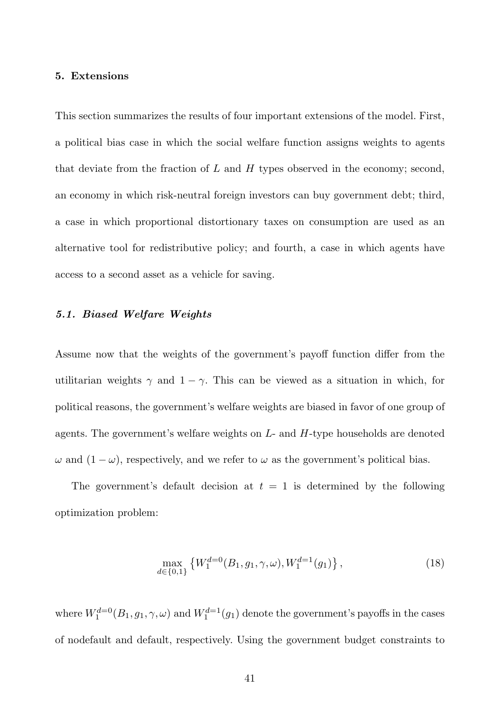#### 5. Extensions

This section summarizes the results of four important extensions of the model. First, a political bias case in which the social welfare function assigns weights to agents that deviate from the fraction of  $L$  and  $H$  types observed in the economy; second, an economy in which risk-neutral foreign investors can buy government debt; third, a case in which proportional distortionary taxes on consumption are used as an alternative tool for redistributive policy; and fourth, a case in which agents have access to a second asset as a vehicle for saving.

# 5.1. Biased Welfare Weights

Assume now that the weights of the government's payoff function differ from the utilitarian weights  $\gamma$  and  $1 - \gamma$ . This can be viewed as a situation in which, for political reasons, the government's welfare weights are biased in favor of one group of agents. The government's welfare weights on  $L$ - and  $H$ -type households are denoted  $\omega$  and  $(1 - \omega)$ , respectively, and we refer to  $\omega$  as the government's political bias.

The government's default decision at  $t = 1$  is determined by the following optimization problem:

$$
\max_{d \in \{0,1\}} \left\{ W_1^{d=0}(B_1, g_1, \gamma, \omega), W_1^{d=1}(g_1) \right\},\tag{18}
$$

where  $W_1^{d=0}(B_1, g_1, \gamma, \omega)$  and  $W_1^{d=1}(g_1)$  denote the government's payoffs in the cases of nodefault and default, respectively. Using the government budget constraints to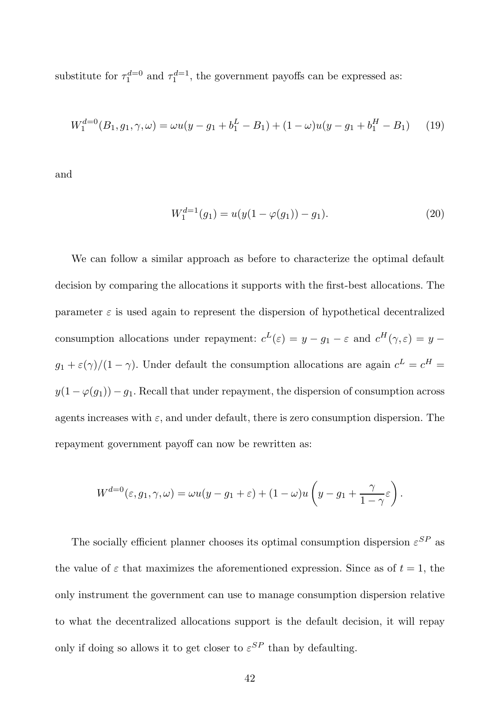substitute for  $\tau_1^{d=0}$  and  $\tau_1^{d=1}$ , the government payoffs can be expressed as:

$$
W_1^{d=0}(B_1, g_1, \gamma, \omega) = \omega u(y - g_1 + b_1^L - B_1) + (1 - \omega)u(y - g_1 + b_1^H - B_1)
$$
 (19)

and

$$
W_1^{d=1}(g_1) = u(y(1 - \varphi(g_1)) - g_1). \tag{20}
$$

We can follow a similar approach as before to characterize the optimal default decision by comparing the allocations it supports with the first-best allocations. The parameter  $\varepsilon$  is used again to represent the dispersion of hypothetical decentralized consumption allocations under repayment:  $c^L(\varepsilon) = y - g_1 - \varepsilon$  and  $c^H(\gamma, \varepsilon) = y$  $g_1 + \varepsilon(\gamma)/(1-\gamma)$ . Under default the consumption allocations are again  $c^L = c^H =$  $y(1 - \varphi(g_1)) - g_1$ . Recall that under repayment, the dispersion of consumption across agents increases with  $\varepsilon$ , and under default, there is zero consumption dispersion. The repayment government payoff can now be rewritten as:

$$
W^{d=0}(\varepsilon,g_1,\gamma,\omega)=\omega u(y-g_1+\varepsilon)+(1-\omega)u\left(y-g_1+\frac{\gamma}{1-\gamma}\varepsilon\right).
$$

The socially efficient planner chooses its optimal consumption dispersion  $\varepsilon^{SP}$  as the value of  $\varepsilon$  that maximizes the aforementioned expression. Since as of  $t = 1$ , the only instrument the government can use to manage consumption dispersion relative to what the decentralized allocations support is the default decision, it will repay only if doing so allows it to get closer to  $\varepsilon^{SP}$  than by defaulting.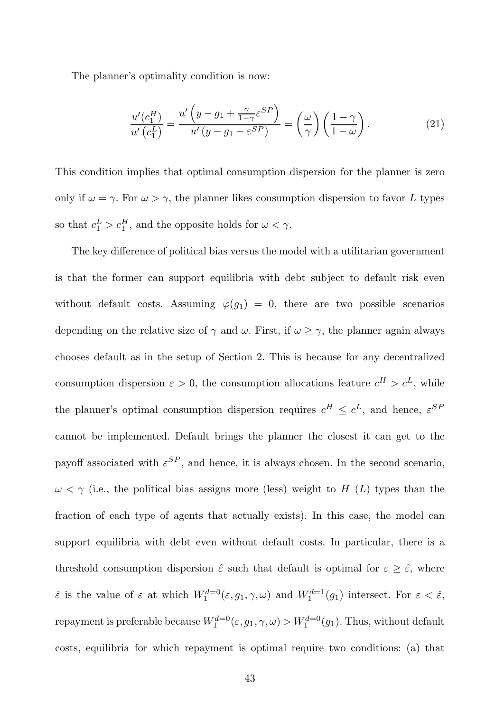The planner's optimality condition is now:

$$
\frac{u'(c_1^H)}{u'(c_1^L)} = \frac{u'\left(y - g_1 + \frac{\gamma}{1 - \gamma}\varepsilon^{SP}\right)}{u'(y - g_1 - \varepsilon^{SP})} = \left(\frac{\omega}{\gamma}\right)\left(\frac{1 - \gamma}{1 - \omega}\right). \tag{21}
$$

This condition implies that optimal consumption dispersion for the planner is zero only if  $\omega = \gamma$ . For  $\omega > \gamma$ , the planner likes consumption dispersion to favor L types so that  $c_1^L > c_1^H$ , and the opposite holds for  $\omega < \gamma$ .

The key difference of political bias versus the model with a utilitarian government is that the former can support equilibria with debt subject to default risk even without default costs. Assuming  $\varphi(g_1) = 0$ , there are two possible scenarios depending on the relative size of  $\gamma$  and  $\omega$ . First, if  $\omega \geq \gamma$ , the planner again always chooses default as in the setup of Section 2. This is because for any decentralized consumption dispersion  $\varepsilon > 0$ , the consumption allocations feature  $c^H > c^L$ , while the planner's optimal consumption dispersion requires  $c^H \leq c^L$ , and hence,  $\varepsilon^{SF}$ cannot be implemented. Default brings the planner the closest it can get to the payoff associated with  $\varepsilon^{SP}$ , and hence, it is always chosen. In the second scenario,  $\omega < \gamma$  (i.e., the political bias assigns more (less) weight to H (L) types than the fraction of each type of agents that actually exists). In this case, the model can support equilibria with debt even without default costs. In particular, there is a threshold consumption dispersion  $\hat{\varepsilon}$  such that default is optimal for  $\varepsilon \geq \hat{\varepsilon}$ , where  $\hat{\varepsilon}$  is the value of  $\varepsilon$  at which  $W_1^{d=0}(\varepsilon, g_1, \gamma, \omega)$  and  $W_1^{d=1}(g_1)$  intersect. For  $\varepsilon < \hat{\varepsilon}$ , repayment is preferable because  $W_1^{d=0}(\varepsilon, g_1, \gamma, \omega) > W_1^{d=0}(g_1)$ . Thus, without default costs, equilibria for which repayment is optimal require two conditions: (a) that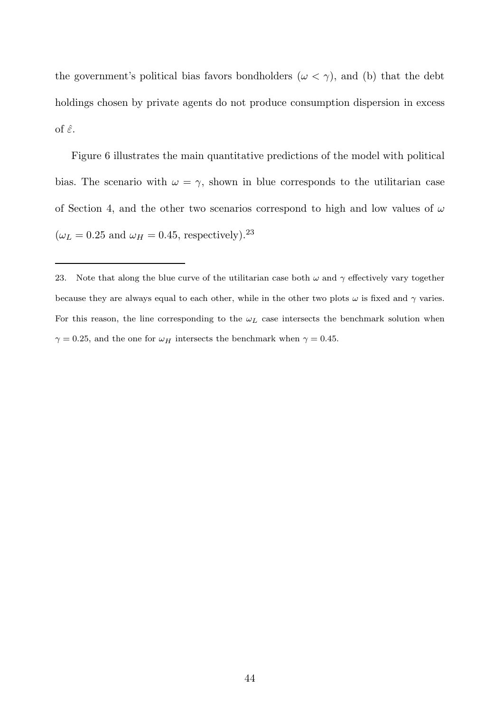the government's political bias favors bondholders ( $\omega < \gamma$ ), and (b) that the debt holdings chosen by private agents do not produce consumption dispersion in excess of  $\hat{\varepsilon}$ .

Figure 6 illustrates the main quantitative predictions of the model with political bias. The scenario with  $\omega = \gamma$ , shown in blue corresponds to the utilitarian case of Section 4, and the other two scenarios correspond to high and low values of  $\omega$  $(\omega_L = 0.25 \text{ and } \omega_H = 0.45, \text{ respectively}).^{23}$ 

<sup>23.</sup> Note that along the blue curve of the utilitarian case both  $\omega$  and  $\gamma$  effectively vary together because they are always equal to each other, while in the other two plots  $\omega$  is fixed and  $\gamma$  varies. For this reason, the line corresponding to the  $\omega_L$  case intersects the benchmark solution when  $\gamma=0.25,$  and the one for  $\omega_H$  intersects the benchmark when  $\gamma=0.45.$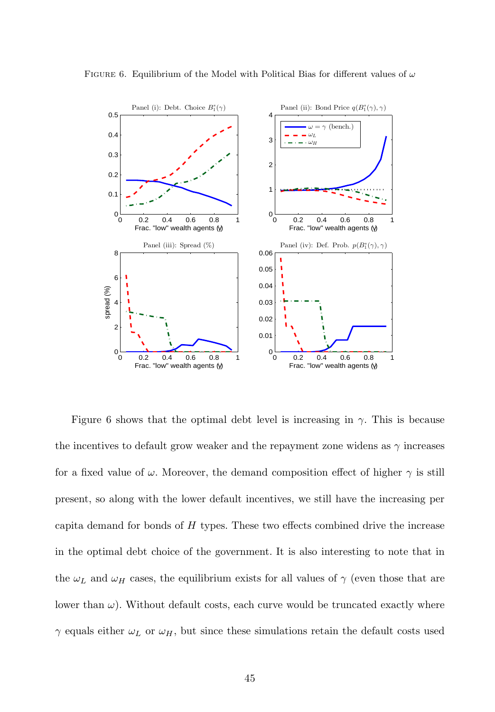

FIGURE 6. Equilibrium of the Model with Political Bias for different values of  $\omega$ 

Figure 6 shows that the optimal debt level is increasing in  $\gamma$ . This is because the incentives to default grow weaker and the repayment zone widens as  $\gamma$  increases for a fixed value of  $\omega$ . Moreover, the demand composition effect of higher  $\gamma$  is still present, so along with the lower default incentives, we still have the increasing per capita demand for bonds of  $H$  types. These two effects combined drive the increase in the optimal debt choice of the government. It is also interesting to note that in the  $\omega_L$  and  $\omega_H$  cases, the equilibrium exists for all values of  $\gamma$  (even those that are lower than  $\omega$ ). Without default costs, each curve would be truncated exactly where  $\gamma$  equals either  $\omega_L$  or  $\omega_H$ , but since these simulations retain the default costs used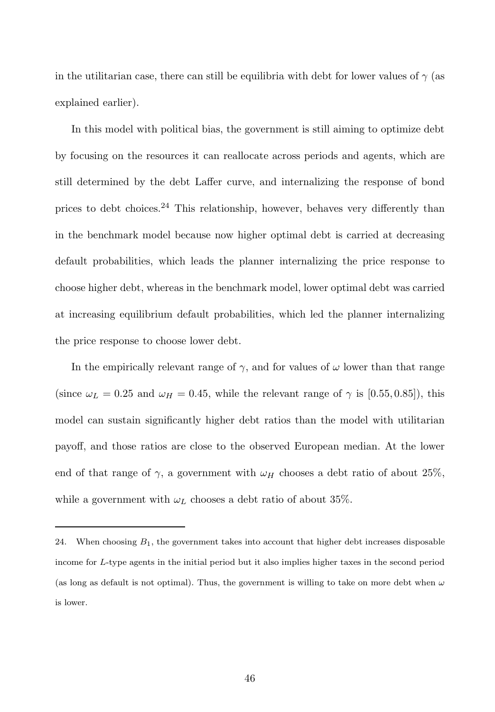in the utilitarian case, there can still be equilibria with debt for lower values of  $\gamma$  (as explained earlier).

In this model with political bias, the government is still aiming to optimize debt by focusing on the resources it can reallocate across periods and agents, which are still determined by the debt Laffer curve, and internalizing the response of bond prices to debt choices.<sup>24</sup> This relationship, however, behaves very differently than in the benchmark model because now higher optimal debt is carried at decreasing default probabilities, which leads the planner internalizing the price response to choose higher debt, whereas in the benchmark model, lower optimal debt was carried at increasing equilibrium default probabilities, which led the planner internalizing the price response to choose lower debt.

In the empirically relevant range of  $\gamma$ , and for values of  $\omega$  lower than that range (since  $\omega_L = 0.25$  and  $\omega_H = 0.45$ , while the relevant range of  $\gamma$  is [0.55,0.85]), this model can sustain significantly higher debt ratios than the model with utilitarian payoff, and those ratios are close to the observed European median. At the lower end of that range of  $\gamma$ , a government with  $\omega_H$  chooses a debt ratio of about 25%, while a government with  $\omega_L$  chooses a debt ratio of about 35%.

<sup>24.</sup> When choosing  $B_1$ , the government takes into account that higher debt increases disposable income for L-type agents in the initial period but it also implies higher taxes in the second period (as long as default is not optimal). Thus, the government is willing to take on more debt when  $\omega$ is lower.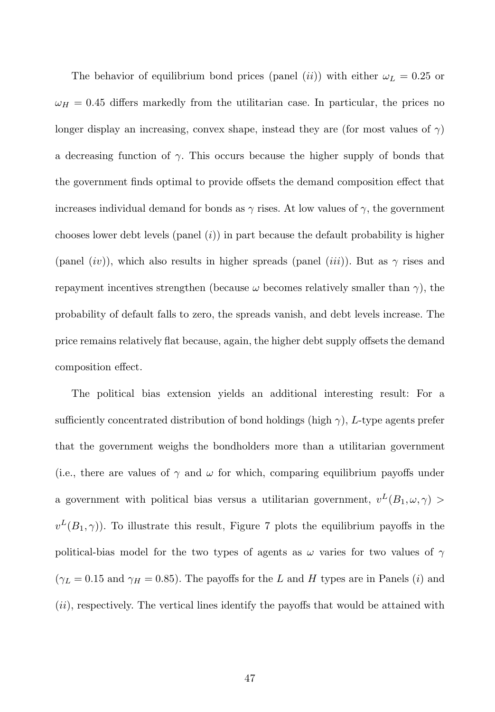The behavior of equilibrium bond prices (panel *(ii))* with either  $\omega_L = 0.25$  or  $\omega_H = 0.45$  differs markedly from the utilitarian case. In particular, the prices no longer display an increasing, convex shape, instead they are (for most values of  $\gamma$ ) a decreasing function of  $\gamma$ . This occurs because the higher supply of bonds that the government finds optimal to provide offsets the demand composition effect that increases individual demand for bonds as  $\gamma$  rises. At low values of  $\gamma$ , the government chooses lower debt levels (panel  $(i)$ ) in part because the default probability is higher (panel (iv)), which also results in higher spreads (panel (iii)). But as  $\gamma$  rises and repayment incentives strengthen (because  $\omega$  becomes relatively smaller than  $\gamma$ ), the probability of default falls to zero, the spreads vanish, and debt levels increase. The price remains relatively flat because, again, the higher debt supply offsets the demand composition effect.

The political bias extension yields an additional interesting result: For a sufficiently concentrated distribution of bond holdings (high  $\gamma$ ), L-type agents prefer that the government weighs the bondholders more than a utilitarian government (i.e., there are values of  $\gamma$  and  $\omega$  for which, comparing equilibrium payoffs under a government with political bias versus a utilitarian government,  $v^L(B_1, \omega, \gamma)$  $v^L(B_1, \gamma)$ ). To illustrate this result, Figure 7 plots the equilibrium payoffs in the political-bias model for the two types of agents as  $\omega$  varies for two values of  $\gamma$  $(\gamma_L = 0.15$  and  $\gamma_H = 0.85)$ . The payoffs for the L and H types are in Panels (i) and (ii), respectively. The vertical lines identify the payoffs that would be attained with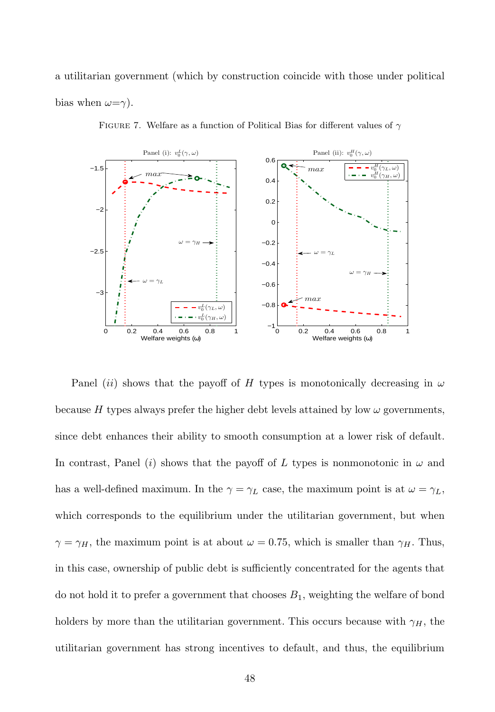a utilitarian government (which by construction coincide with those under political bias when  $\omega = \gamma$ ).



FIGURE 7. Welfare as a function of Political Bias for different values of  $\gamma$ 

Panel (ii) shows that the payoff of H types is monotonically decreasing in  $\omega$ because H types always prefer the higher debt levels attained by low  $\omega$  governments, since debt enhances their ability to smooth consumption at a lower risk of default. In contrast, Panel (i) shows that the payoff of L types is nonmonotonic in  $\omega$  and has a well-defined maximum. In the  $\gamma = \gamma_L$  case, the maximum point is at  $\omega = \gamma_L$ , which corresponds to the equilibrium under the utilitarian government, but when  $\gamma = \gamma_H$ , the maximum point is at about  $\omega = 0.75$ , which is smaller than  $\gamma_H$ . Thus, in this case, ownership of public debt is sufficiently concentrated for the agents that do not hold it to prefer a government that chooses  $B_1$ , weighting the welfare of bond holders by more than the utilitarian government. This occurs because with  $\gamma_H$ , the utilitarian government has strong incentives to default, and thus, the equilibrium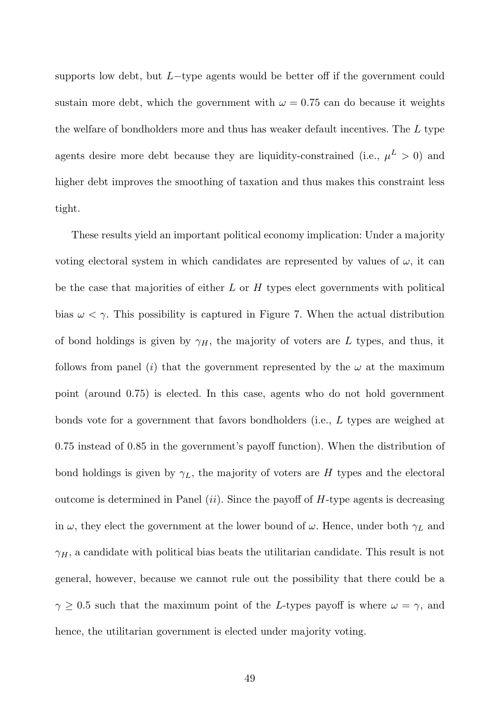supports low debt, but  $L$ -type agents would be better off if the government could sustain more debt, which the government with  $\omega = 0.75$  can do because it weights the welfare of bondholders more and thus has weaker default incentives. The  $L$  type agents desire more debt because they are liquidity-constrained (i.e.,  $\mu^L > 0$ ) and higher debt improves the smoothing of taxation and thus makes this constraint less tight.

These results yield an important political economy implication: Under a majority voting electoral system in which candidates are represented by values of  $\omega$ , it can be the case that majorities of either  $L$  or  $H$  types elect governments with political bias  $\omega < \gamma$ . This possibility is captured in Figure 7. When the actual distribution of bond holdings is given by  $\gamma_H$ , the majority of voters are L types, and thus, it follows from panel (i) that the government represented by the  $\omega$  at the maximum point (around 0.75) is elected. In this case, agents who do not hold government bonds vote for a government that favors bondholders (i.e., L types are weighed at 0.75 instead of 0.85 in the government's payoff function). When the distribution of bond holdings is given by  $\gamma_L$ , the majority of voters are H types and the electoral outcome is determined in Panel  $(ii)$ . Since the payoff of H-type agents is decreasing in  $\omega$ , they elect the government at the lower bound of  $\omega$ . Hence, under both  $\gamma_L$  and  $\gamma_H$ , a candidate with political bias beats the utilitarian candidate. This result is not general, however, because we cannot rule out the possibility that there could be a  $\gamma \geq 0.5$  such that the maximum point of the L-types payoff is where  $\omega = \gamma$ , and hence, the utilitarian government is elected under majority voting.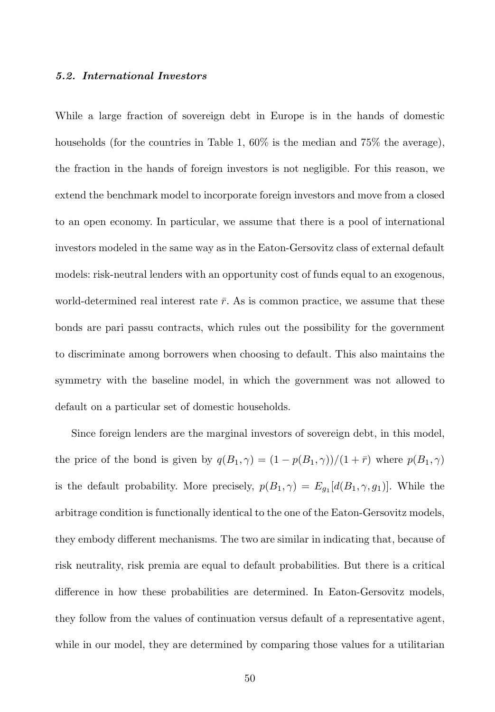#### 5.2. International Investors

While a large fraction of sovereign debt in Europe is in the hands of domestic households (for the countries in Table 1, 60% is the median and 75% the average), the fraction in the hands of foreign investors is not negligible. For this reason, we extend the benchmark model to incorporate foreign investors and move from a closed to an open economy. In particular, we assume that there is a pool of international investors modeled in the same way as in the Eaton-Gersovitz class of external default models: risk-neutral lenders with an opportunity cost of funds equal to an exogenous, world-determined real interest rate  $\bar{r}$ . As is common practice, we assume that these bonds are pari passu contracts, which rules out the possibility for the government to discriminate among borrowers when choosing to default. This also maintains the symmetry with the baseline model, in which the government was not allowed to default on a particular set of domestic households.

Since foreign lenders are the marginal investors of sovereign debt, in this model, the price of the bond is given by  $q(B_1, \gamma) = (1 - p(B_1, \gamma))/(1 + \bar{r})$  where  $p(B_1, \gamma)$ is the default probability. More precisely,  $p(B_1, \gamma) = E_{g_1}[d(B_1, \gamma, g_1)]$ . While the arbitrage condition is functionally identical to the one of the Eaton-Gersovitz models, they embody different mechanisms. The two are similar in indicating that, because of risk neutrality, risk premia are equal to default probabilities. But there is a critical difference in how these probabilities are determined. In Eaton-Gersovitz models, they follow from the values of continuation versus default of a representative agent, while in our model, they are determined by comparing those values for a utilitarian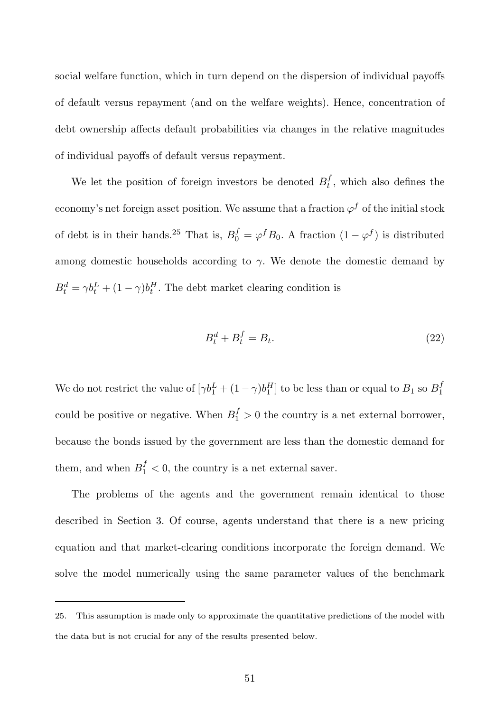social welfare function, which in turn depend on the dispersion of individual payoffs of default versus repayment (and on the welfare weights). Hence, concentration of debt ownership affects default probabilities via changes in the relative magnitudes of individual payoffs of default versus repayment.

We let the position of foreign investors be denoted  $B_t^f$ , which also defines the economy's net foreign asset position. We assume that a fraction  $\varphi^f$  of the initial stock of debt is in their hands.<sup>25</sup> That is,  $B_0^f = \varphi^f B_0$ . A fraction  $(1 - \varphi^f)$  is distributed among domestic households according to  $\gamma$ . We denote the domestic demand by  $B_t^d = \gamma b_t^L + (1 - \gamma) b_t^H$ . The debt market clearing condition is

$$
B_t^d + B_t^f = B_t. \tag{22}
$$

We do not restrict the value of  $[\gamma b_1^L + (1 - \gamma)b_1^H]$  to be less than or equal to  $B_1$  so  $B_1^f$ could be positive or negative. When  $B_1^f > 0$  the country is a net external borrower, because the bonds issued by the government are less than the domestic demand for them, and when  $B_1^f < 0$ , the country is a net external saver.

The problems of the agents and the government remain identical to those described in Section 3. Of course, agents understand that there is a new pricing equation and that market-clearing conditions incorporate the foreign demand. We solve the model numerically using the same parameter values of the benchmark

<sup>25.</sup> This assumption is made only to approximate the quantitative predictions of the model with the data but is not crucial for any of the results presented below.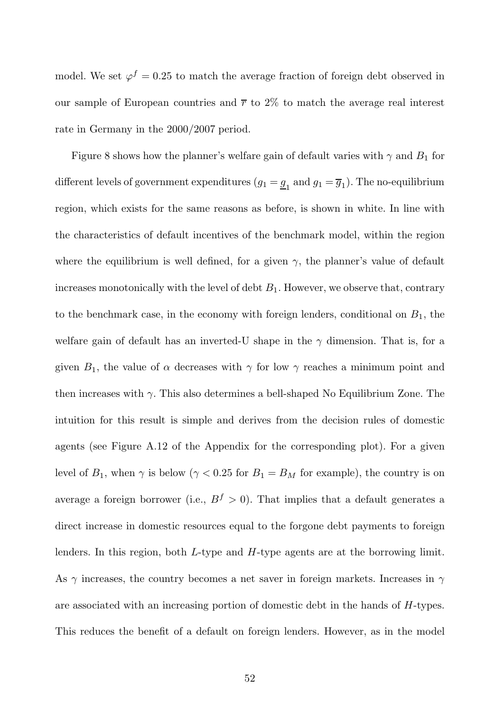model. We set  $\varphi^f = 0.25$  to match the average fraction of foreign debt observed in our sample of European countries and  $\bar{r}$  to 2% to match the average real interest rate in Germany in the 2000/2007 period.

Figure 8 shows how the planner's welfare gain of default varies with  $\gamma$  and  $B_1$  for different levels of government expenditures  $(g_1 = \underline{g}_1 \text{ and } g_1 = \overline{g}_1)$ . The no-equilibrium region, which exists for the same reasons as before, is shown in white. In line with the characteristics of default incentives of the benchmark model, within the region where the equilibrium is well defined, for a given  $\gamma$ , the planner's value of default increases monotonically with the level of debt  $B_1$ . However, we observe that, contrary to the benchmark case, in the economy with foreign lenders, conditional on  $B_1$ , the welfare gain of default has an inverted-U shape in the  $\gamma$  dimension. That is, for a given  $B_1$ , the value of  $\alpha$  decreases with  $\gamma$  for low  $\gamma$  reaches a minimum point and then increases with  $\gamma$ . This also determines a bell-shaped No Equilibrium Zone. The intuition for this result is simple and derives from the decision rules of domestic agents (see Figure A.12 of the Appendix for the corresponding plot). For a given level of  $B_1$ , when  $\gamma$  is below ( $\gamma < 0.25$  for  $B_1 = B_M$  for example), the country is on average a foreign borrower (i.e.,  $B^f > 0$ ). That implies that a default generates a direct increase in domestic resources equal to the forgone debt payments to foreign lenders. In this region, both L-type and H-type agents are at the borrowing limit. As  $\gamma$  increases, the country becomes a net saver in foreign markets. Increases in  $\gamma$ are associated with an increasing portion of domestic debt in the hands of H-types. This reduces the benefit of a default on foreign lenders. However, as in the model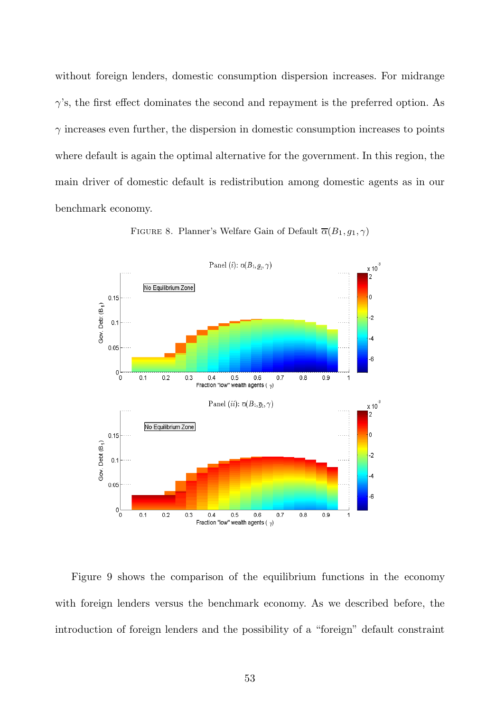without foreign lenders, domestic consumption dispersion increases. For midrange  $\gamma$ 's, the first effect dominates the second and repayment is the preferred option. As  $\gamma$  increases even further, the dispersion in domestic consumption increases to points where default is again the optimal alternative for the government. In this region, the main driver of domestic default is redistribution among domestic agents as in our benchmark economy.



FIGURE 8. Planner's Welfare Gain of Default  $\overline{\alpha}(B_1, g_1, \gamma)$ 

Figure 9 shows the comparison of the equilibrium functions in the economy with foreign lenders versus the benchmark economy. As we described before, the introduction of foreign lenders and the possibility of a "foreign" default constraint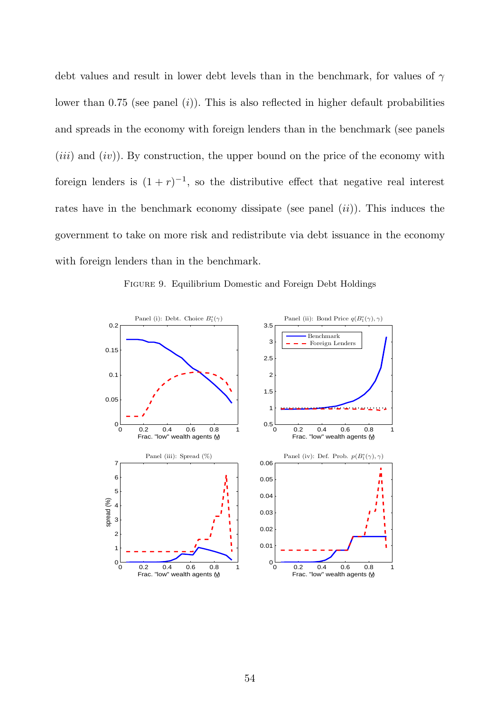debt values and result in lower debt levels than in the benchmark, for values of  $\gamma$ lower than  $0.75$  (see panel  $(i)$ ). This is also reflected in higher default probabilities and spreads in the economy with foreign lenders than in the benchmark (see panels  $(iii)$  and  $(iv)$ ). By construction, the upper bound on the price of the economy with foreign lenders is  $(1+r)^{-1}$ , so the distributive effect that negative real interest rates have in the benchmark economy dissipate (see panel  $(ii)$ ). This induces the government to take on more risk and redistribute via debt issuance in the economy with foreign lenders than in the benchmark.

Figure 9. Equilibrium Domestic and Foreign Debt Holdings

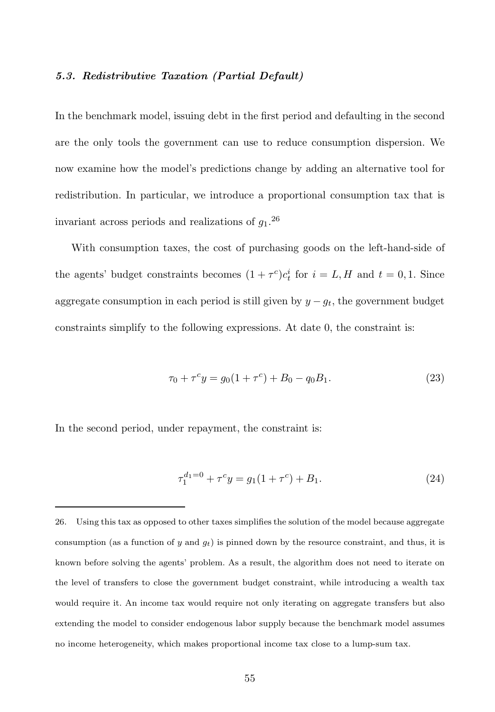#### 5.3. Redistributive Taxation (Partial Default)

In the benchmark model, issuing debt in the first period and defaulting in the second are the only tools the government can use to reduce consumption dispersion. We now examine how the model's predictions change by adding an alternative tool for redistribution. In particular, we introduce a proportional consumption tax that is invariant across periods and realizations of  $g_1$ <sup>26</sup>

With consumption taxes, the cost of purchasing goods on the left-hand-side of the agents' budget constraints becomes  $(1 + \tau^c)c_t^i$  for  $i = L, H$  and  $t = 0, 1$ . Since aggregate consumption in each period is still given by  $y - g_t$ , the government budget constraints simplify to the following expressions. At date 0, the constraint is:

$$
\tau_0 + \tau^c y = g_0 (1 + \tau^c) + B_0 - q_0 B_1. \tag{23}
$$

In the second period, under repayment, the constraint is:

$$
\tau_1^{d_1=0} + \tau^c y = g_1(1+\tau^c) + B_1. \tag{24}
$$

<sup>26.</sup> Using this tax as opposed to other taxes simplifies the solution of the model because aggregate consumption (as a function of y and  $g_t$ ) is pinned down by the resource constraint, and thus, it is known before solving the agents' problem. As a result, the algorithm does not need to iterate on the level of transfers to close the government budget constraint, while introducing a wealth tax would require it. An income tax would require not only iterating on aggregate transfers but also extending the model to consider endogenous labor supply because the benchmark model assumes no income heterogeneity, which makes proportional income tax close to a lump-sum tax.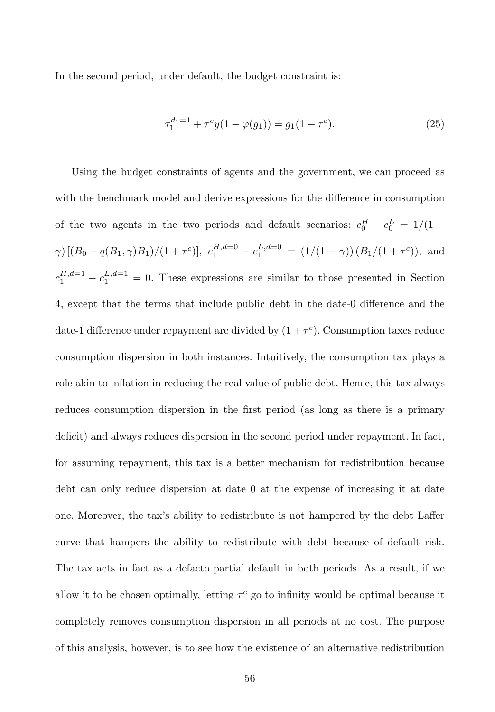In the second period, under default, the budget constraint is:

$$
\tau_1^{d_1=1} + \tau^c y(1 - \varphi(g_1)) = g_1(1 + \tau^c). \tag{25}
$$

Using the budget constraints of agents and the government, we can proceed as with the benchmark model and derive expressions for the difference in consumption of the two agents in the two periods and default scenarios:  $c_0^H - c_0^L = 1/(1 \gamma$ )  $[(B_0 - q(B_1, \gamma)B_1)/(1 + \tau^c)], c_1^{H, d=0} - c_1^{L, d=0} = (1/(1 - \gamma))(B_1/(1 + \tau^c)),$  and  $c_1^{H,d=1} - c_1^{L,d=1} = 0$ . These expressions are similar to those presented in Section 4, except that the terms that include public debt in the date-0 difference and the date-1 difference under repayment are divided by  $(1+\tau^c)$ . Consumption taxes reduce consumption dispersion in both instances. Intuitively, the consumption tax plays a role akin to inflation in reducing the real value of public debt. Hence, this tax always reduces consumption dispersion in the first period (as long as there is a primary deficit) and always reduces dispersion in the second period under repayment. In fact, for assuming repayment, this tax is a better mechanism for redistribution because debt can only reduce dispersion at date 0 at the expense of increasing it at date one. Moreover, the tax's ability to redistribute is not hampered by the debt Laffer curve that hampers the ability to redistribute with debt because of default risk. The tax acts in fact as a defacto partial default in both periods. As a result, if we allow it to be chosen optimally, letting  $\tau^c$  go to infinity would be optimal because it completely removes consumption dispersion in all periods at no cost. The purpose of this analysis, however, is to see how the existence of an alternative redistribution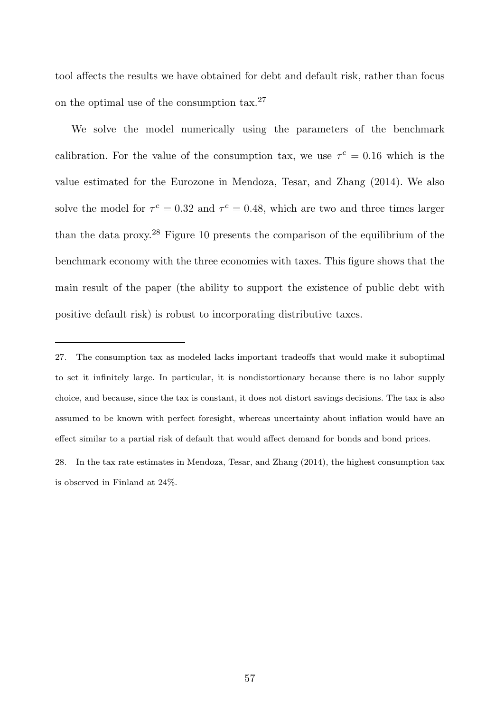tool affects the results we have obtained for debt and default risk, rather than focus on the optimal use of the consumption tax.<sup>27</sup>

We solve the model numerically using the parameters of the benchmark calibration. For the value of the consumption tax, we use  $\tau^c = 0.16$  which is the value estimated for the Eurozone in Mendoza, Tesar, and Zhang (2014). We also solve the model for  $\tau^c = 0.32$  and  $\tau^c = 0.48$ , which are two and three times larger than the data proxy.<sup>28</sup> Figure 10 presents the comparison of the equilibrium of the benchmark economy with the three economies with taxes. This figure shows that the main result of the paper (the ability to support the existence of public debt with positive default risk) is robust to incorporating distributive taxes.

<sup>27.</sup> The consumption tax as modeled lacks important tradeoffs that would make it suboptimal to set it infinitely large. In particular, it is nondistortionary because there is no labor supply choice, and because, since the tax is constant, it does not distort savings decisions. The tax is also assumed to be known with perfect foresight, whereas uncertainty about inflation would have an effect similar to a partial risk of default that would affect demand for bonds and bond prices.

<sup>28.</sup> In the tax rate estimates in Mendoza, Tesar, and Zhang (2014), the highest consumption tax is observed in Finland at 24%.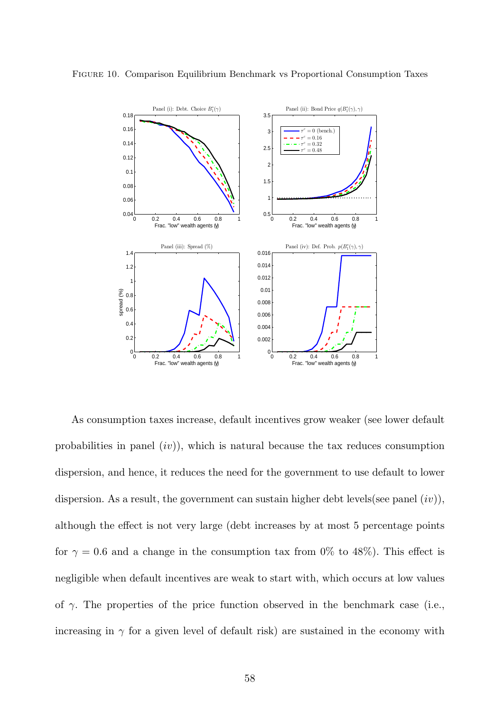

Figure 10. Comparison Equilibrium Benchmark vs Proportional Consumption Taxes

As consumption taxes increase, default incentives grow weaker (see lower default probabilities in panel  $(iv)$ , which is natural because the tax reduces consumption dispersion, and hence, it reduces the need for the government to use default to lower dispersion. As a result, the government can sustain higher debt levels(see panel  $(iv)$ ), although the effect is not very large (debt increases by at most 5 percentage points for  $\gamma = 0.6$  and a change in the consumption tax from 0% to 48%). This effect is negligible when default incentives are weak to start with, which occurs at low values of  $\gamma$ . The properties of the price function observed in the benchmark case (i.e., increasing in  $\gamma$  for a given level of default risk) are sustained in the economy with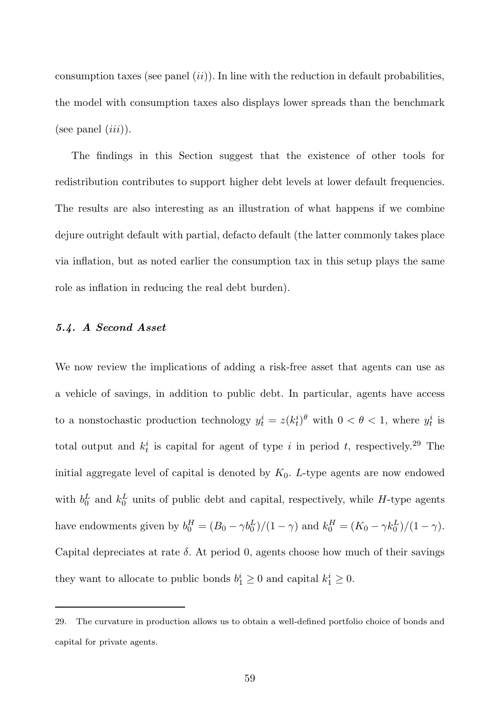consumption taxes (see panel  $(ii)$ ). In line with the reduction in default probabilities, the model with consumption taxes also displays lower spreads than the benchmark (see panel  $(iii)$ ).

The findings in this Section suggest that the existence of other tools for redistribution contributes to support higher debt levels at lower default frequencies. The results are also interesting as an illustration of what happens if we combine dejure outright default with partial, defacto default (the latter commonly takes place via inflation, but as noted earlier the consumption tax in this setup plays the same role as inflation in reducing the real debt burden).

#### 5.4. A Second Asset

We now review the implications of adding a risk-free asset that agents can use as a vehicle of savings, in addition to public debt. In particular, agents have access to a nonstochastic production technology  $y_t^i = z(k_t^i)^\theta$  with  $0 < \theta < 1$ , where  $y_t^i$  is total output and  $k_t^i$  is capital for agent of type i in period t, respectively.<sup>29</sup> The initial aggregate level of capital is denoted by  $K_0$ . L-type agents are now endowed with  $b_0^L$  and  $k_0^L$  units of public debt and capital, respectively, while H-type agents have endowments given by  $b_0^H = (B_0 - \gamma b_0^L)/(1 - \gamma)$  and  $k_0^H = (K_0 - \gamma k_0^L)/(1 - \gamma)$ . Capital depreciates at rate  $\delta$ . At period 0, agents choose how much of their savings they want to allocate to public bonds  $b_1^i \geq 0$  and capital  $k_1^i \geq 0$ .

<sup>29.</sup> The curvature in production allows us to obtain a well-defined portfolio choice of bonds and capital for private agents.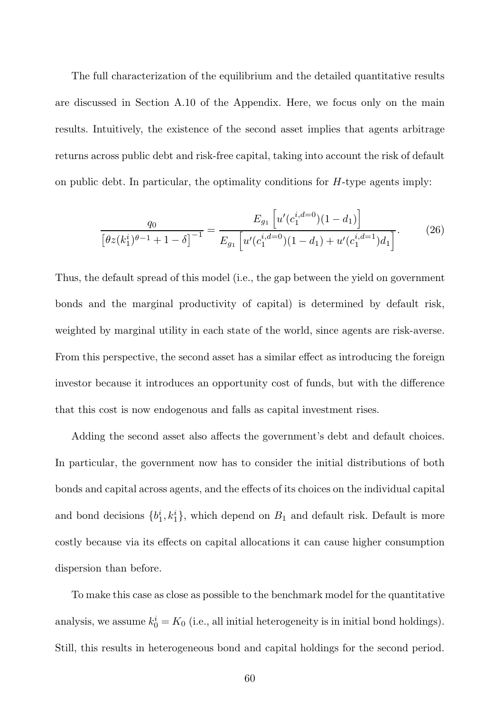The full characterization of the equilibrium and the detailed quantitative results are discussed in Section A.10 of the Appendix. Here, we focus only on the main results. Intuitively, the existence of the second asset implies that agents arbitrage returns across public debt and risk-free capital, taking into account the risk of default on public debt. In particular, the optimality conditions for  $H$ -type agents imply:

$$
\frac{q_0}{\left[\theta z(k_1^i)^{\theta-1}+1-\delta\right]^{-1}} = \frac{E_{g_1}\left[u'(c_1^{i,d=0})(1-d_1)\right]}{E_{g_1}\left[u'(c_1^{i,d=0})(1-d_1)+u'(c_1^{i,d=1})d_1\right]}.
$$
(26)

Thus, the default spread of this model (i.e., the gap between the yield on government bonds and the marginal productivity of capital) is determined by default risk, weighted by marginal utility in each state of the world, since agents are risk-averse. From this perspective, the second asset has a similar effect as introducing the foreign investor because it introduces an opportunity cost of funds, but with the difference that this cost is now endogenous and falls as capital investment rises.

Adding the second asset also affects the government's debt and default choices. In particular, the government now has to consider the initial distributions of both bonds and capital across agents, and the effects of its choices on the individual capital and bond decisions  $\{b_1^i, k_1^i\}$ , which depend on  $B_1$  and default risk. Default is more costly because via its effects on capital allocations it can cause higher consumption dispersion than before.

To make this case as close as possible to the benchmark model for the quantitative analysis, we assume  $k_0^i = K_0$  (i.e., all initial heterogeneity is in initial bond holdings). Still, this results in heterogeneous bond and capital holdings for the second period.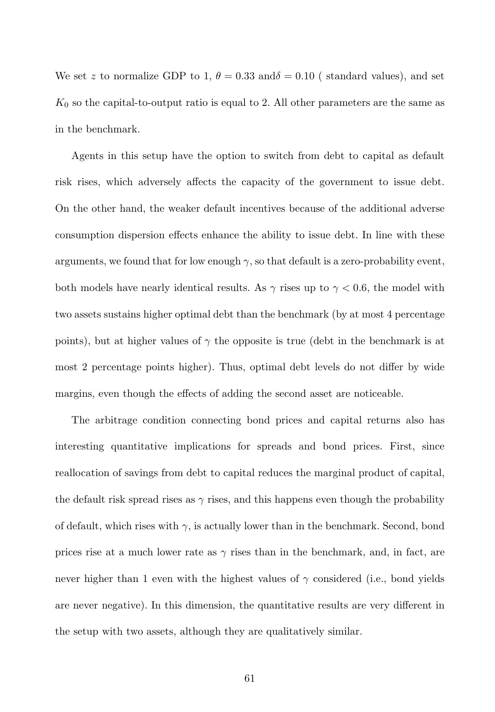We set z to normalize GDP to 1,  $\theta = 0.33$  and  $\delta = 0.10$  (standard values), and set  $K_0$  so the capital-to-output ratio is equal to 2. All other parameters are the same as in the benchmark.

Agents in this setup have the option to switch from debt to capital as default risk rises, which adversely affects the capacity of the government to issue debt. On the other hand, the weaker default incentives because of the additional adverse consumption dispersion effects enhance the ability to issue debt. In line with these arguments, we found that for low enough  $\gamma$ , so that default is a zero-probability event, both models have nearly identical results. As  $\gamma$  rises up to  $\gamma$  < 0.6, the model with two assets sustains higher optimal debt than the benchmark (by at most 4 percentage points), but at higher values of  $\gamma$  the opposite is true (debt in the benchmark is at most 2 percentage points higher). Thus, optimal debt levels do not differ by wide margins, even though the effects of adding the second asset are noticeable.

The arbitrage condition connecting bond prices and capital returns also has interesting quantitative implications for spreads and bond prices. First, since reallocation of savings from debt to capital reduces the marginal product of capital, the default risk spread rises as  $\gamma$  rises, and this happens even though the probability of default, which rises with  $\gamma$ , is actually lower than in the benchmark. Second, bond prices rise at a much lower rate as  $\gamma$  rises than in the benchmark, and, in fact, are never higher than 1 even with the highest values of  $\gamma$  considered (i.e., bond yields are never negative). In this dimension, the quantitative results are very different in the setup with two assets, although they are qualitatively similar.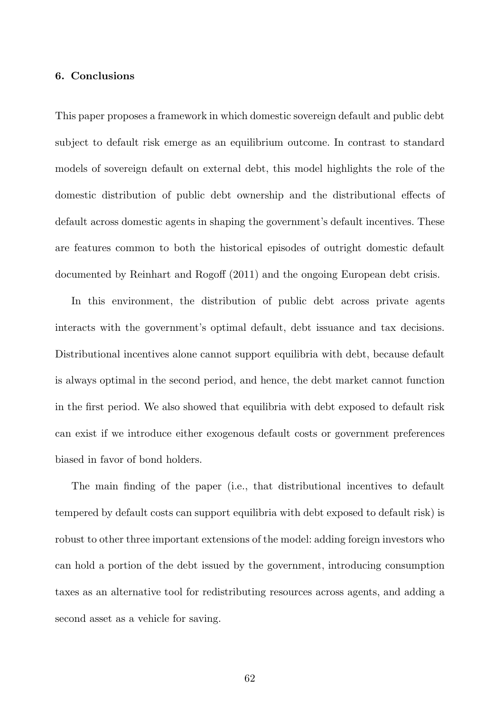# 6. Conclusions

This paper proposes a framework in which domestic sovereign default and public debt subject to default risk emerge as an equilibrium outcome. In contrast to standard models of sovereign default on external debt, this model highlights the role of the domestic distribution of public debt ownership and the distributional effects of default across domestic agents in shaping the government's default incentives. These are features common to both the historical episodes of outright domestic default documented by Reinhart and Rogoff (2011) and the ongoing European debt crisis.

In this environment, the distribution of public debt across private agents interacts with the government's optimal default, debt issuance and tax decisions. Distributional incentives alone cannot support equilibria with debt, because default is always optimal in the second period, and hence, the debt market cannot function in the first period. We also showed that equilibria with debt exposed to default risk can exist if we introduce either exogenous default costs or government preferences biased in favor of bond holders.

The main finding of the paper (i.e., that distributional incentives to default tempered by default costs can support equilibria with debt exposed to default risk) is robust to other three important extensions of the model: adding foreign investors who can hold a portion of the debt issued by the government, introducing consumption taxes as an alternative tool for redistributing resources across agents, and adding a second asset as a vehicle for saving.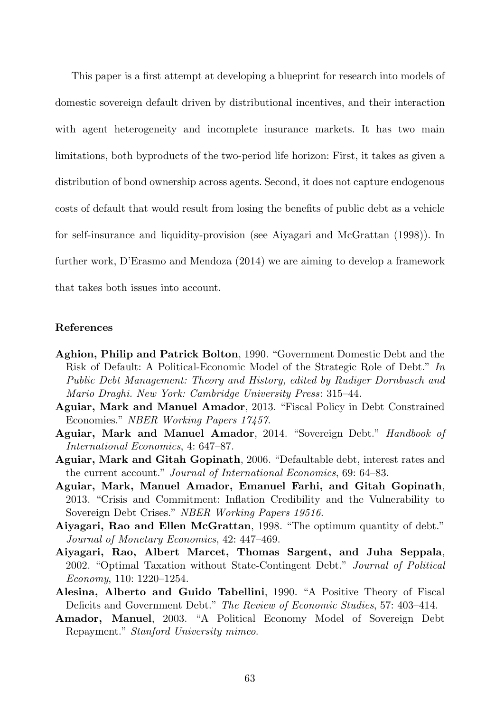This paper is a first attempt at developing a blueprint for research into models of domestic sovereign default driven by distributional incentives, and their interaction with agent heterogeneity and incomplete insurance markets. It has two main limitations, both byproducts of the two-period life horizon: First, it takes as given a distribution of bond ownership across agents. Second, it does not capture endogenous costs of default that would result from losing the benefits of public debt as a vehicle for self-insurance and liquidity-provision (see Aiyagari and McGrattan (1998)). In further work, D'Erasmo and Mendoza (2014) we are aiming to develop a framework that takes both issues into account.

#### References

- Aghion, Philip and Patrick Bolton, 1990. "Government Domestic Debt and the Risk of Default: A Political-Economic Model of the Strategic Role of Debt." *In Public Debt Management: Theory and History, edited by Rudiger Dornbusch and Mario Draghi. New York: Cambridge University Press*: 315–44.
- Aguiar, Mark and Manuel Amador, 2013. "Fiscal Policy in Debt Constrained Economies." *NBER Working Papers 17457*.
- Aguiar, Mark and Manuel Amador, 2014. "Sovereign Debt." *Handbook of International Economics*, 4: 647–87.
- Aguiar, Mark and Gitah Gopinath, 2006. "Defaultable debt, interest rates and the current account." *Journal of International Economics*, 69: 64–83.
- Aguiar, Mark, Manuel Amador, Emanuel Farhi, and Gitah Gopinath, 2013. "Crisis and Commitment: Inflation Credibility and the Vulnerability to Sovereign Debt Crises." *NBER Working Papers 19516*.
- Aiyagari, Rao and Ellen McGrattan, 1998. "The optimum quantity of debt." *Journal of Monetary Economics*, 42: 447–469.
- Aiyagari, Rao, Albert Marcet, Thomas Sargent, and Juha Seppala, 2002. "Optimal Taxation without State-Contingent Debt." *Journal of Political Economy*, 110: 1220–1254.
- Alesina, Alberto and Guido Tabellini, 1990. "A Positive Theory of Fiscal Deficits and Government Debt." *The Review of Economic Studies*, 57: 403–414.
- Amador, Manuel, 2003. "A Political Economy Model of Sovereign Debt Repayment." *Stanford University mimeo*.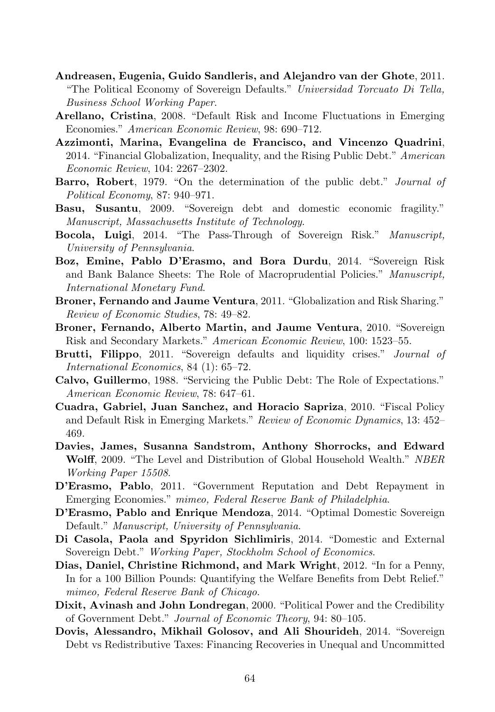- Andreasen, Eugenia, Guido Sandleris, and Alejandro van der Ghote, 2011. "The Political Economy of Sovereign Defaults." *Universidad Torcuato Di Tella, Business School Working Paper*.
- Arellano, Cristina, 2008. "Default Risk and Income Fluctuations in Emerging Economies." *American Economic Review*, 98: 690–712.
- Azzimonti, Marina, Evangelina de Francisco, and Vincenzo Quadrini, 2014. "Financial Globalization, Inequality, and the Rising Public Debt." *American Economic Review*, 104: 2267–2302.
- Barro, Robert, 1979. "On the determination of the public debt." *Journal of Political Economy*, 87: 940–971.
- Basu, Susantu, 2009. "Sovereign debt and domestic economic fragility." *Manuscript, Massachusetts Institute of Technology*.
- Bocola, Luigi, 2014. "The Pass-Through of Sovereign Risk." *Manuscript, University of Pennsylvania*.
- Boz, Emine, Pablo D'Erasmo, and Bora Durdu, 2014. "Sovereign Risk and Bank Balance Sheets: The Role of Macroprudential Policies." *Manuscript, International Monetary Fund*.
- Broner, Fernando and Jaume Ventura, 2011. "Globalization and Risk Sharing." *Review of Economic Studies*, 78: 49–82.
- Broner, Fernando, Alberto Martin, and Jaume Ventura, 2010. "Sovereign Risk and Secondary Markets." *American Economic Review*, 100: 1523–55.
- Brutti, Filippo, 2011. "Sovereign defaults and liquidity crises." *Journal of International Economics*, 84 (1): 65–72.
- Calvo, Guillermo, 1988. "Servicing the Public Debt: The Role of Expectations." *American Economic Review*, 78: 647–61.
- Cuadra, Gabriel, Juan Sanchez, and Horacio Sapriza, 2010. "Fiscal Policy and Default Risk in Emerging Markets." *Review of Economic Dynamics*, 13: 452– 469.
- Davies, James, Susanna Sandstrom, Anthony Shorrocks, and Edward Wolff, 2009. "The Level and Distribution of Global Household Wealth." *NBER Working Paper 15508*.
- D'Erasmo, Pablo, 2011. "Government Reputation and Debt Repayment in Emerging Economies." *mimeo, Federal Reserve Bank of Philadelphia*.
- D'Erasmo, Pablo and Enrique Mendoza, 2014. "Optimal Domestic Sovereign Default." *Manuscript, University of Pennsylvania*.
- Di Casola, Paola and Spyridon Sichlimiris, 2014. "Domestic and External Sovereign Debt." *Working Paper, Stockholm School of Economics*.
- Dias, Daniel, Christine Richmond, and Mark Wright, 2012. "In for a Penny, In for a 100 Billion Pounds: Quantifying the Welfare Benefits from Debt Relief." *mimeo, Federal Reserve Bank of Chicago*.
- Dixit, Avinash and John Londregan, 2000. "Political Power and the Credibility of Government Debt." *Journal of Economic Theory*, 94: 80–105.
- Dovis, Alessandro, Mikhail Golosov, and Ali Shourideh, 2014. "Sovereign Debt vs Redistributive Taxes: Financing Recoveries in Unequal and Uncommitted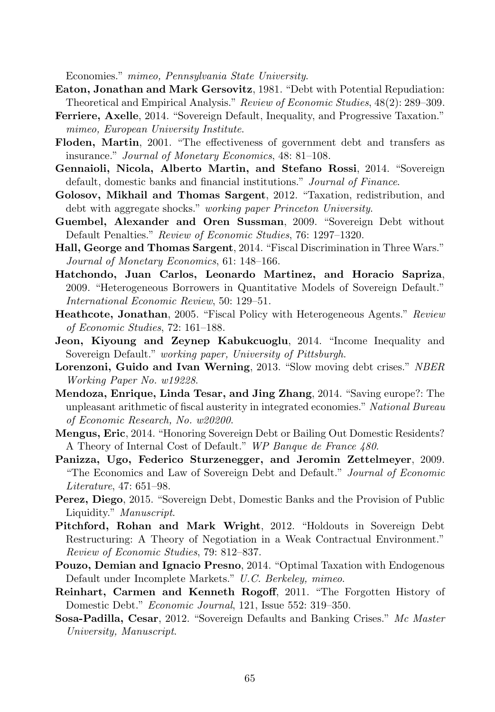Economies." *mimeo, Pennsylvania State University*.

- Eaton, Jonathan and Mark Gersovitz, 1981. "Debt with Potential Repudiation: Theoretical and Empirical Analysis." *Review of Economic Studies*, 48(2): 289–309.
- Ferriere, Axelle, 2014. "Sovereign Default, Inequality, and Progressive Taxation." *mimeo, European University Institute*.
- Floden, Martin, 2001. "The effectiveness of government debt and transfers as insurance." *Journal of Monetary Economics*, 48: 81–108.
- Gennaioli, Nicola, Alberto Martin, and Stefano Rossi, 2014. "Sovereign default, domestic banks and financial institutions." *Journal of Finance*.
- Golosov, Mikhail and Thomas Sargent, 2012. "Taxation, redistribution, and debt with aggregate shocks." *working paper Princeton University*.
- Guembel, Alexander and Oren Sussman, 2009. "Sovereign Debt without Default Penalties." *Review of Economic Studies*, 76: 1297–1320.
- Hall, George and Thomas Sargent, 2014. "Fiscal Discrimination in Three Wars." *Journal of Monetary Economics*, 61: 148–166.
- Hatchondo, Juan Carlos, Leonardo Martinez, and Horacio Sapriza, 2009. "Heterogeneous Borrowers in Quantitative Models of Sovereign Default." *International Economic Review*, 50: 129–51.
- Heathcote, Jonathan, 2005. "Fiscal Policy with Heterogeneous Agents." *Review of Economic Studies*, 72: 161–188.
- Jeon, Kiyoung and Zeynep Kabukcuoglu, 2014. "Income Inequality and Sovereign Default." *working paper, University of Pittsburgh*.
- Lorenzoni, Guido and Ivan Werning, 2013. "Slow moving debt crises." *NBER Working Paper No. w19228*.
- Mendoza, Enrique, Linda Tesar, and Jing Zhang, 2014. "Saving europe?: The unpleasant arithmetic of fiscal austerity in integrated economies." *National Bureau of Economic Research, No. w20200*.
- Mengus, Eric, 2014. "Honoring Sovereign Debt or Bailing Out Domestic Residents? A Theory of Internal Cost of Default." *WP Banque de France 480*.
- Panizza, Ugo, Federico Sturzenegger, and Jeromin Zettelmeyer, 2009. "The Economics and Law of Sovereign Debt and Default." *Journal of Economic Literature*, 47: 651–98.
- Perez, Diego, 2015. "Sovereign Debt, Domestic Banks and the Provision of Public Liquidity." *Manuscript*.
- Pitchford, Rohan and Mark Wright, 2012. "Holdouts in Sovereign Debt Restructuring: A Theory of Negotiation in a Weak Contractual Environment." *Review of Economic Studies*, 79: 812–837.
- Pouzo, Demian and Ignacio Presno, 2014. "Optimal Taxation with Endogenous Default under Incomplete Markets." *U.C. Berkeley, mimeo*.
- Reinhart, Carmen and Kenneth Rogoff, 2011. "The Forgotten History of Domestic Debt." *Economic Journal*, 121, Issue 552: 319–350.
- Sosa-Padilla, Cesar, 2012. "Sovereign Defaults and Banking Crises." *Mc Master University, Manuscript*.